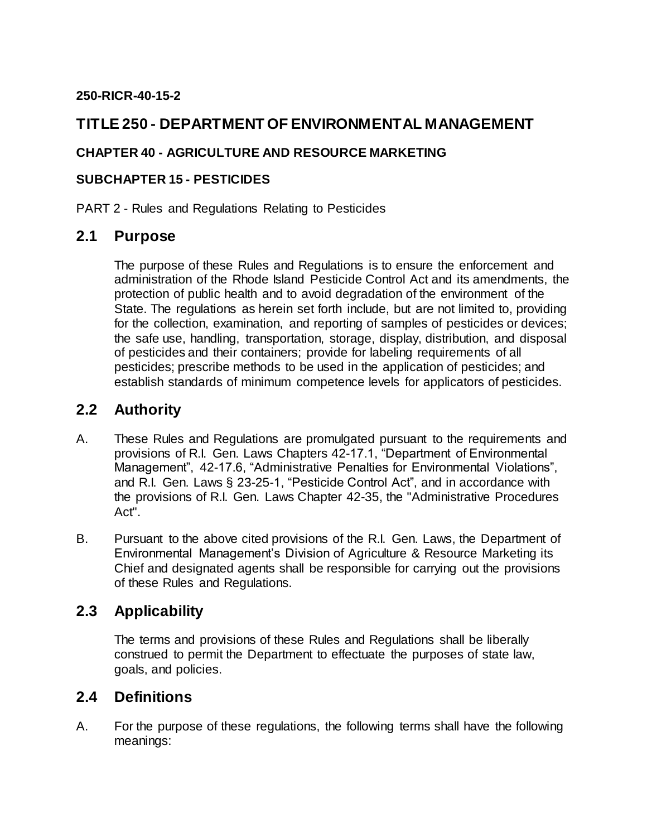#### **250-RICR-40-15-2**

## **TITLE 250 - DEPARTMENT OF ENVIRONMENTAL MANAGEMENT**

#### **CHAPTER 40 - AGRICULTURE AND RESOURCE MARKETING**

#### **SUBCHAPTER 15 - PESTICIDES**

PART 2 - Rules and Regulations Relating to Pesticides

### **2.1 Purpose**

The purpose of these Rules and Regulations is to ensure the enforcement and administration of the Rhode Island Pesticide Control Act and its amendments, the protection of public health and to avoid degradation of the environment of the State. The regulations as herein set forth include, but are not limited to, providing for the collection, examination, and reporting of samples of pesticides or devices; the safe use, handling, transportation, storage, display, distribution, and disposal of pesticides and their containers; provide for labeling requirements of all pesticides; prescribe methods to be used in the application of pesticides; and establish standards of minimum competence levels for applicators of pesticides.

## **2.2 Authority**

- A. These Rules and Regulations are promulgated pursuant to the requirements and provisions of R.I. Gen. Laws Chapters 42-17.1, "Department of Environmental Management", 42-17.6, "Administrative Penalties for Environmental Violations", and R.I. Gen. Laws § 23-25-1, "Pesticide Control Act", and in accordance with the provisions of R.I. Gen. Laws Chapter 42-35, the "Administrative Procedures Act".
- B. Pursuant to the above cited provisions of the R.I. Gen. Laws, the Department of Environmental Management's Division of Agriculture & Resource Marketing its Chief and designated agents shall be responsible for carrying out the provisions of these Rules and Regulations.

# **2.3 Applicability**

The terms and provisions of these Rules and Regulations shall be liberally construed to permit the Department to effectuate the purposes of state law, goals, and policies.

## **2.4 Definitions**

A. For the purpose of these regulations, the following terms shall have the following meanings: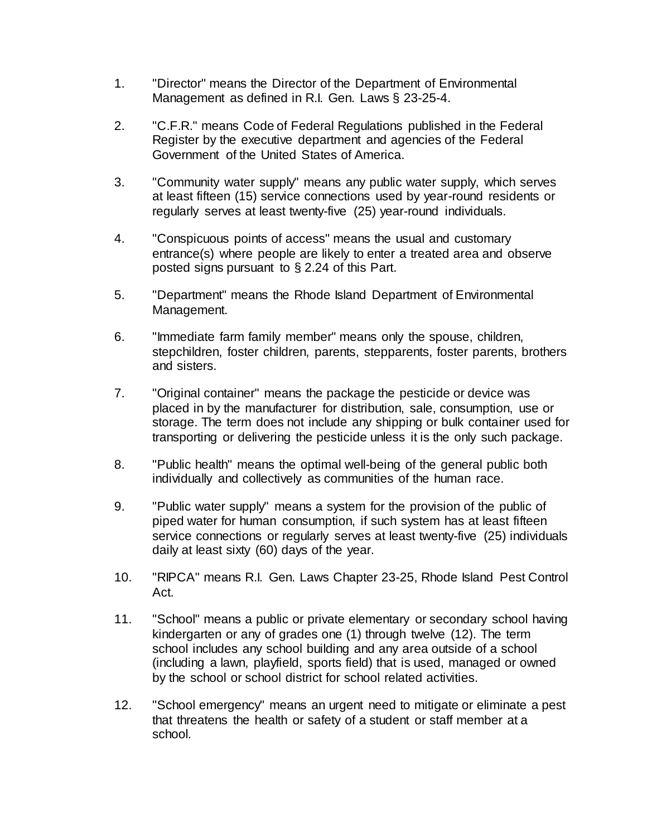- 1. "Director" means the Director of the Department of Environmental Management as defined in R.I. Gen. Laws § 23-25-4.
- 2. "C.F.R." means Code of Federal Regulations published in the Federal Register by the executive department and agencies of the Federal Government of the United States of America.
- 3. "Community water supply" means any public water supply, which serves at least fifteen (15) service connections used by year-round residents or regularly serves at least twenty-five (25) year-round individuals.
- 4. "Conspicuous points of access" means the usual and customary entrance(s) where people are likely to enter a treated area and observe posted signs pursuant to § 2.24 of this Part.
- 5. "Department" means the Rhode Island Department of Environmental Management.
- 6. "Immediate farm family member" means only the spouse, children, stepchildren, foster children, parents, stepparents, foster parents, brothers and sisters.
- 7. "Original container" means the package the pesticide or device was placed in by the manufacturer for distribution, sale, consumption, use or storage. The term does not include any shipping or bulk container used for transporting or delivering the pesticide unless it is the only such package.
- 8. "Public health" means the optimal well-being of the general public both individually and collectively as communities of the human race.
- 9. "Public water supply" means a system for the provision of the public of piped water for human consumption, if such system has at least fifteen service connections or regularly serves at least twenty-five (25) individuals daily at least sixty (60) days of the year.
- 10. "RIPCA" means R.I. Gen. Laws Chapter 23-25, Rhode Island Pest Control Act.
- 11. "School" means a public or private elementary or secondary school having kindergarten or any of grades one (1) through twelve (12). The term school includes any school building and any area outside of a school (including a lawn, playfield, sports field) that is used, managed or owned by the school or school district for school related activities.
- 12. "School emergency" means an urgent need to mitigate or eliminate a pest that threatens the health or safety of a student or staff member at a school.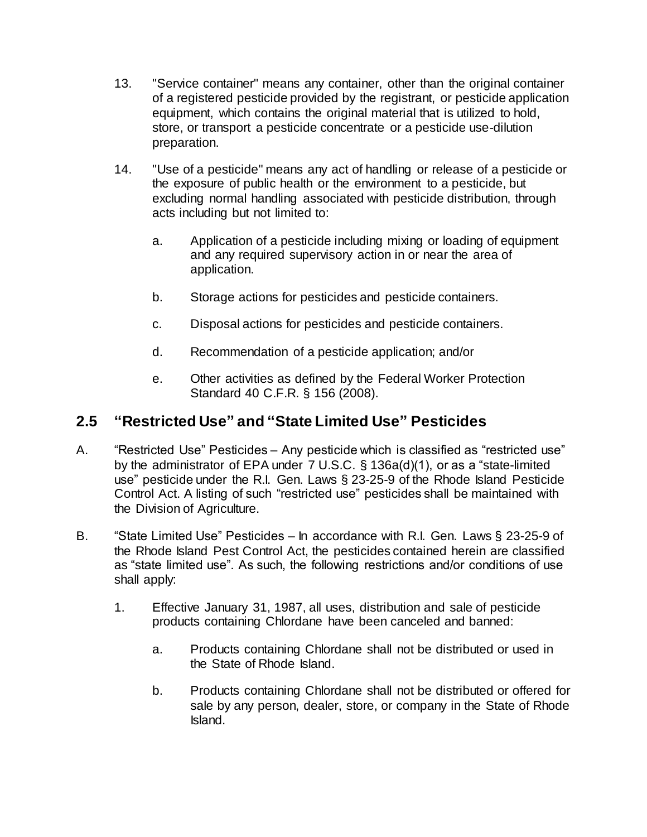- 13. "Service container" means any container, other than the original container of a registered pesticide provided by the registrant, or pesticide application equipment, which contains the original material that is utilized to hold, store, or transport a pesticide concentrate or a pesticide use-dilution preparation.
- 14. "Use of a pesticide" means any act of handling or release of a pesticide or the exposure of public health or the environment to a pesticide, but excluding normal handling associated with pesticide distribution, through acts including but not limited to:
	- a. Application of a pesticide including mixing or loading of equipment and any required supervisory action in or near the area of application.
	- b. Storage actions for pesticides and pesticide containers.
	- c. Disposal actions for pesticides and pesticide containers.
	- d. Recommendation of a pesticide application; and/or
	- e. Other activities as defined by the Federal Worker Protection Standard 40 C.F.R. § 156 (2008).

## **2.5 "Restricted Use" and "State Limited Use" Pesticides**

- A. "Restricted Use" Pesticides Any pesticide which is classified as "restricted use" by the administrator of EPA under 7 U.S.C. § 136a(d)(1), or as a "state-limited use" pesticide under the R.I. Gen. Laws § 23-25-9 of the Rhode Island Pesticide Control Act. A listing of such "restricted use" pesticides shall be maintained with the Division of Agriculture.
- B. "State Limited Use" Pesticides In accordance with R.I. Gen. Laws § 23-25-9 of the Rhode Island Pest Control Act, the pesticides contained herein are classified as "state limited use". As such, the following restrictions and/or conditions of use shall apply:
	- 1. Effective January 31, 1987, all uses, distribution and sale of pesticide products containing Chlordane have been canceled and banned:
		- a. Products containing Chlordane shall not be distributed or used in the State of Rhode Island.
		- b. Products containing Chlordane shall not be distributed or offered for sale by any person, dealer, store, or company in the State of Rhode Island.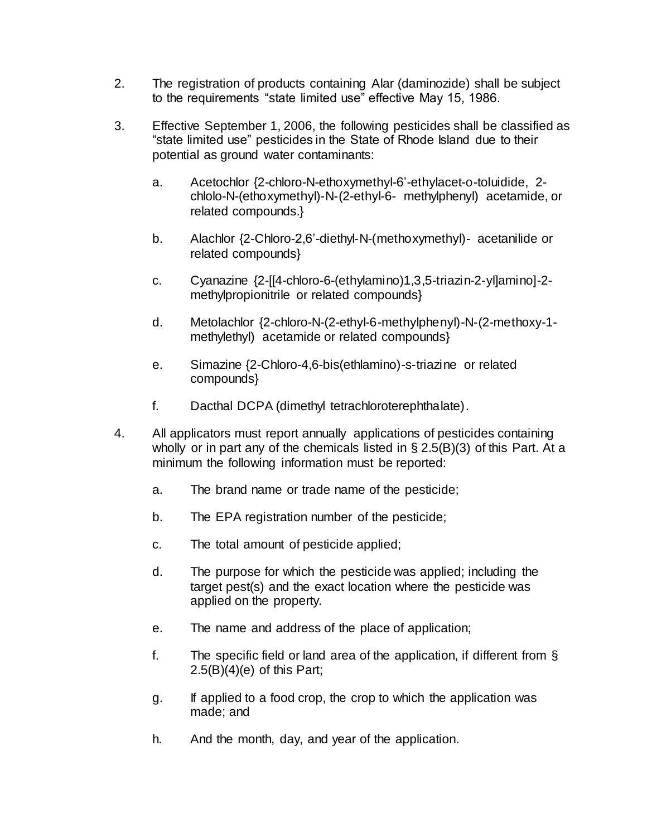- 2. The registration of products containing Alar (daminozide) shall be subject to the requirements "state limited use" effective May 15, 1986.
- 3. Effective September 1, 2006, the following pesticides shall be classified as "state limited use" pesticides in the State of Rhode Island due to their potential as ground water contaminants:
	- a. Acetochlor {2-chloro-N-ethoxymethyl-6'-ethylacet-o-toluidide, 2 chlolo-N-(ethoxymethyl)-N-(2-ethyl-6- methylphenyl) acetamide, or related compounds.}
	- b. Alachlor {2-Chloro-2,6'-diethyl-N-(methoxymethyl)- acetanilide or related compounds}
	- c. Cyanazine {2-[[4-chloro-6-(ethylamino)1,3,5-triazin-2-yl]amino]-2 methylpropionitrile or related compounds}
	- d. Metolachlor {2-chloro-N-(2-ethyl-6-methylphenyl)-N-(2-methoxy-1 methylethyl) acetamide or related compounds}
	- e. Simazine {2-Chloro-4,6-bis(ethlamino)-s-triazine or related compounds}
	- f. Dacthal DCPA (dimethyl tetrachloroterephthalate).
- 4. All applicators must report annually applications of pesticides containing wholly or in part any of the chemicals listed in § 2.5(B)(3) of this Part. At a minimum the following information must be reported:
	- a. The brand name or trade name of the pesticide;
	- b. The EPA registration number of the pesticide;
	- c. The total amount of pesticide applied;
	- d. The purpose for which the pesticide was applied; including the target pest(s) and the exact location where the pesticide was applied on the property.
	- e. The name and address of the place of application;
	- f. The specific field or land area of the application, if different from §  $2.5(B)(4)(e)$  of this Part;
	- g. If applied to a food crop, the crop to which the application was made; and
	- h. And the month, day, and year of the application.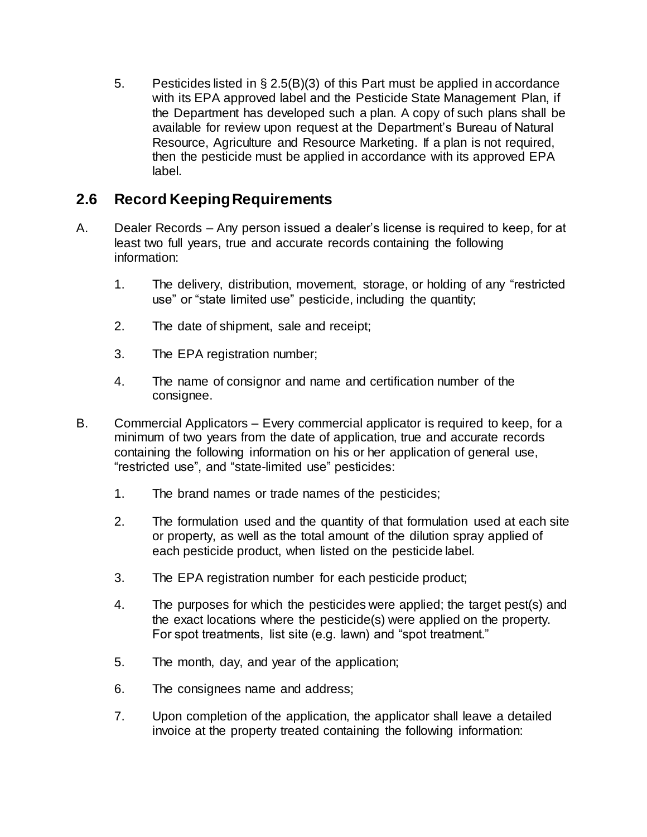5. Pesticides listed in § 2.5(B)(3) of this Part must be applied in accordance with its EPA approved label and the Pesticide State Management Plan, if the Department has developed such a plan. A copy of such plans shall be available for review upon request at the Department's Bureau of Natural Resource, Agriculture and Resource Marketing. If a plan is not required, then the pesticide must be applied in accordance with its approved EPA label.

# **2.6 Record Keeping Requirements**

- A. Dealer Records Any person issued a dealer's license is required to keep, for at least two full years, true and accurate records containing the following information:
	- 1. The delivery, distribution, movement, storage, or holding of any "restricted use" or "state limited use" pesticide, including the quantity;
	- 2. The date of shipment, sale and receipt;
	- 3. The EPA registration number;
	- 4. The name of consignor and name and certification number of the consignee.
- B. Commercial Applicators Every commercial applicator is required to keep, for a minimum of two years from the date of application, true and accurate records containing the following information on his or her application of general use, "restricted use", and "state-limited use" pesticides:
	- 1. The brand names or trade names of the pesticides;
	- 2. The formulation used and the quantity of that formulation used at each site or property, as well as the total amount of the dilution spray applied of each pesticide product, when listed on the pesticide label.
	- 3. The EPA registration number for each pesticide product;
	- 4. The purposes for which the pesticides were applied; the target pest(s) and the exact locations where the pesticide(s) were applied on the property. For spot treatments, list site (e.g. lawn) and "spot treatment."
	- 5. The month, day, and year of the application;
	- 6. The consignees name and address;
	- 7. Upon completion of the application, the applicator shall leave a detailed invoice at the property treated containing the following information: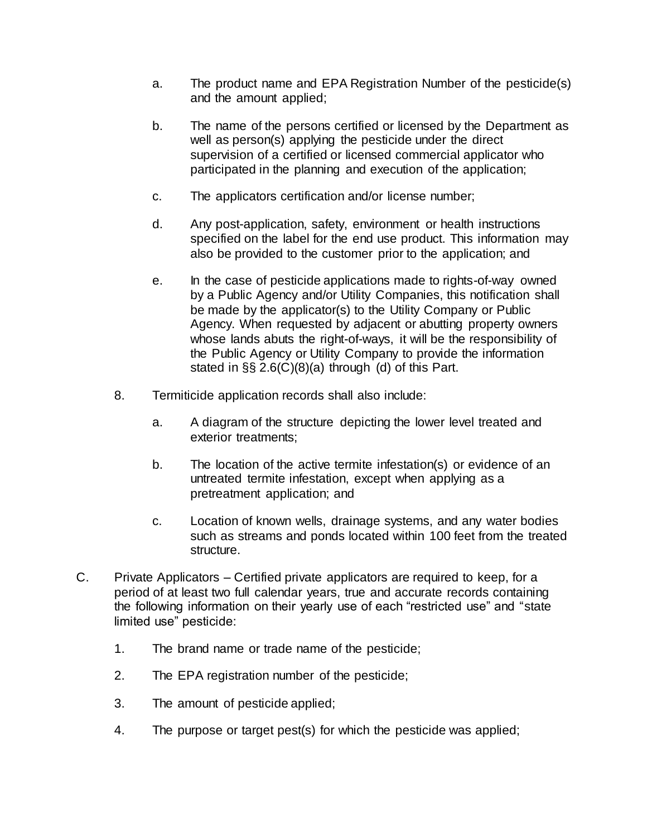- a. The product name and EPA Registration Number of the pesticide(s) and the amount applied;
- b. The name of the persons certified or licensed by the Department as well as person(s) applying the pesticide under the direct supervision of a certified or licensed commercial applicator who participated in the planning and execution of the application;
- c. The applicators certification and/or license number;
- d. Any post-application, safety, environment or health instructions specified on the label for the end use product. This information may also be provided to the customer prior to the application; and
- e. In the case of pesticide applications made to rights-of-way owned by a Public Agency and/or Utility Companies, this notification shall be made by the applicator(s) to the Utility Company or Public Agency. When requested by adjacent or abutting property owners whose lands abuts the right-of-ways, it will be the responsibility of the Public Agency or Utility Company to provide the information stated in §§ 2.6(C)(8)(a) through (d) of this Part.
- 8. Termiticide application records shall also include:
	- a. A diagram of the structure depicting the lower level treated and exterior treatments;
	- b. The location of the active termite infestation(s) or evidence of an untreated termite infestation, except when applying as a pretreatment application; and
	- c. Location of known wells, drainage systems, and any water bodies such as streams and ponds located within 100 feet from the treated structure.
- C. Private Applicators Certified private applicators are required to keep, for a period of at least two full calendar years, true and accurate records containing the following information on their yearly use of each "restricted use" and "state limited use" pesticide:
	- 1. The brand name or trade name of the pesticide;
	- 2. The EPA registration number of the pesticide;
	- 3. The amount of pesticide applied;
	- 4. The purpose or target pest(s) for which the pesticide was applied;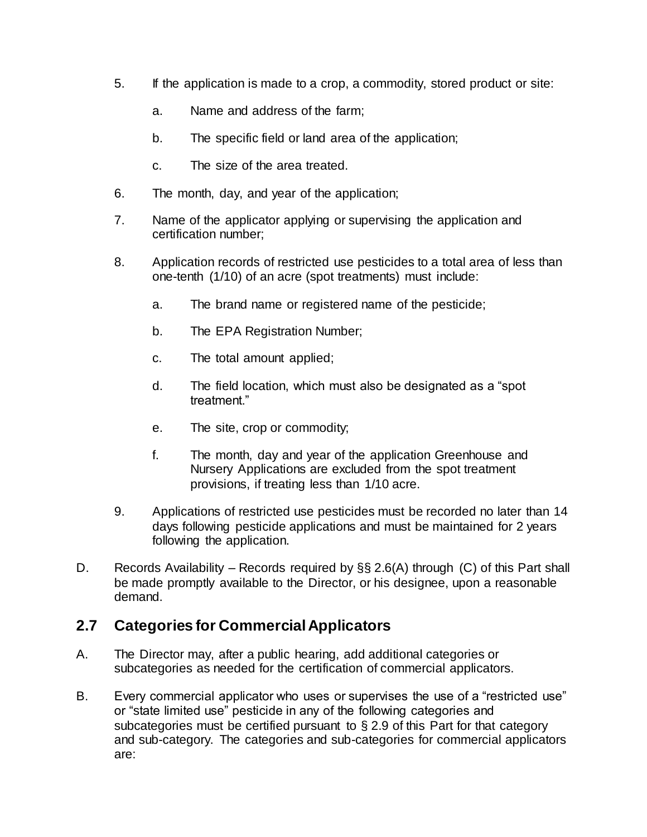- 5. If the application is made to a crop, a commodity, stored product or site:
	- a. Name and address of the farm;
	- b. The specific field or land area of the application;
	- c. The size of the area treated.
- 6. The month, day, and year of the application;
- 7. Name of the applicator applying or supervising the application and certification number;
- 8. Application records of restricted use pesticides to a total area of less than one-tenth (1/10) of an acre (spot treatments) must include:
	- a. The brand name or registered name of the pesticide;
	- b. The EPA Registration Number;
	- c. The total amount applied;
	- d. The field location, which must also be designated as a "spot treatment."
	- e. The site, crop or commodity;
	- f. The month, day and year of the application Greenhouse and Nursery Applications are excluded from the spot treatment provisions, if treating less than 1/10 acre.
- 9. Applications of restricted use pesticides must be recorded no later than 14 days following pesticide applications and must be maintained for 2 years following the application.
- D. Records Availability Records required by §§ 2.6(A) through (C) of this Part shall be made promptly available to the Director, or his designee, upon a reasonable demand.

## **2.7 Categories for Commercial Applicators**

- A. The Director may, after a public hearing, add additional categories or subcategories as needed for the certification of commercial applicators.
- B. Every commercial applicator who uses or supervises the use of a "restricted use" or "state limited use" pesticide in any of the following categories and subcategories must be certified pursuant to § 2.9 of this Part for that category and sub-category. The categories and sub-categories for commercial applicators are: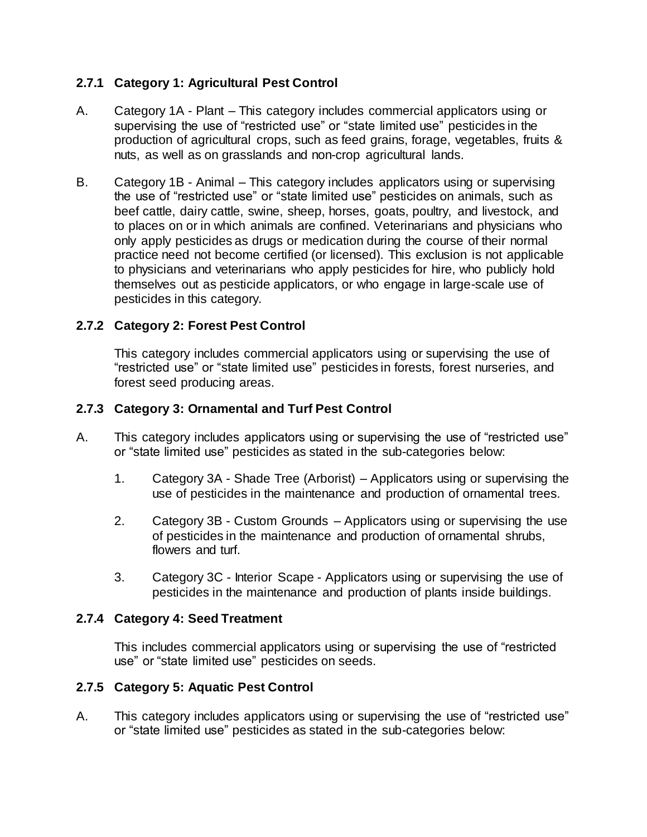### **2.7.1 Category 1: Agricultural Pest Control**

- A. Category 1A Plant This category includes commercial applicators using or supervising the use of "restricted use" or "state limited use" pesticides in the production of agricultural crops, such as feed grains, forage, vegetables, fruits & nuts, as well as on grasslands and non-crop agricultural lands.
- B. Category 1B Animal This category includes applicators using or supervising the use of "restricted use" or "state limited use" pesticides on animals, such as beef cattle, dairy cattle, swine, sheep, horses, goats, poultry, and livestock, and to places on or in which animals are confined. Veterinarians and physicians who only apply pesticides as drugs or medication during the course of their normal practice need not become certified (or licensed). This exclusion is not applicable to physicians and veterinarians who apply pesticides for hire, who publicly hold themselves out as pesticide applicators, or who engage in large-scale use of pesticides in this category.

### **2.7.2 Category 2: Forest Pest Control**

This category includes commercial applicators using or supervising the use of "restricted use" or "state limited use" pesticides in forests, forest nurseries, and forest seed producing areas.

### **2.7.3 Category 3: Ornamental and Turf Pest Control**

- A. This category includes applicators using or supervising the use of "restricted use" or "state limited use" pesticides as stated in the sub-categories below:
	- 1. Category 3A Shade Tree (Arborist) Applicators using or supervising the use of pesticides in the maintenance and production of ornamental trees.
	- 2. Category 3B Custom Grounds Applicators using or supervising the use of pesticides in the maintenance and production of ornamental shrubs, flowers and turf.
	- 3. Category 3C Interior Scape Applicators using or supervising the use of pesticides in the maintenance and production of plants inside buildings.

### **2.7.4 Category 4: Seed Treatment**

This includes commercial applicators using or supervising the use of "restricted use" or "state limited use" pesticides on seeds.

#### **2.7.5 Category 5: Aquatic Pest Control**

A. This category includes applicators using or supervising the use of "restricted use" or "state limited use" pesticides as stated in the sub-categories below: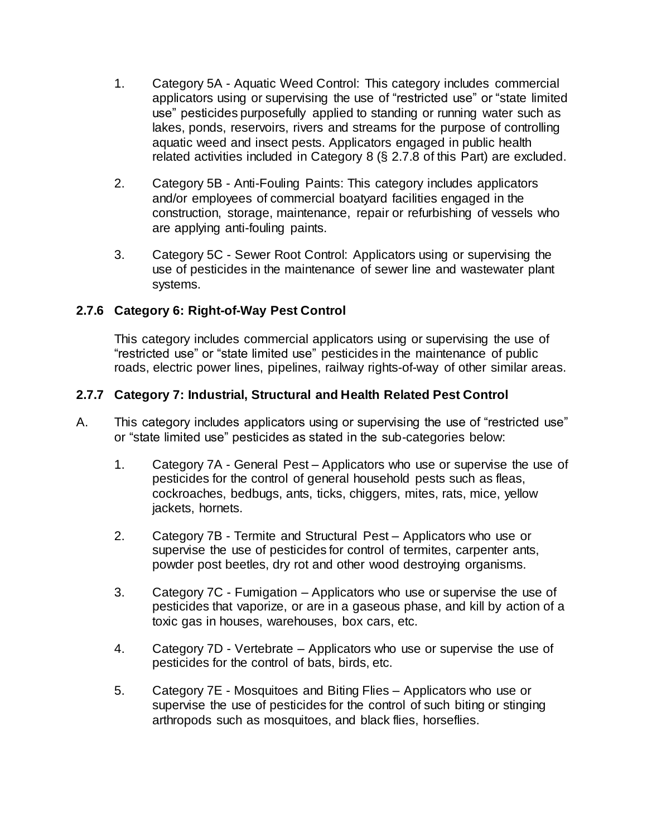- 1. Category 5A Aquatic Weed Control: This category includes commercial applicators using or supervising the use of "restricted use" or "state limited use" pesticides purposefully applied to standing or running water such as lakes, ponds, reservoirs, rivers and streams for the purpose of controlling aquatic weed and insect pests. Applicators engaged in public health related activities included in Category 8 (§ 2.7.8 of this Part) are excluded.
- 2. Category 5B Anti-Fouling Paints: This category includes applicators and/or employees of commercial boatyard facilities engaged in the construction, storage, maintenance, repair or refurbishing of vessels who are applying anti-fouling paints.
- 3. Category 5C Sewer Root Control: Applicators using or supervising the use of pesticides in the maintenance of sewer line and wastewater plant systems.

### **2.7.6 Category 6: Right-of-Way Pest Control**

This category includes commercial applicators using or supervising the use of "restricted use" or "state limited use" pesticides in the maintenance of public roads, electric power lines, pipelines, railway rights-of-way of other similar areas.

### **2.7.7 Category 7: Industrial, Structural and Health Related Pest Control**

- A. This category includes applicators using or supervising the use of "restricted use" or "state limited use" pesticides as stated in the sub-categories below:
	- 1. Category 7A General Pest Applicators who use or supervise the use of pesticides for the control of general household pests such as fleas, cockroaches, bedbugs, ants, ticks, chiggers, mites, rats, mice, yellow jackets, hornets.
	- 2. Category 7B Termite and Structural Pest Applicators who use or supervise the use of pesticides for control of termites, carpenter ants, powder post beetles, dry rot and other wood destroying organisms.
	- 3. Category 7C Fumigation Applicators who use or supervise the use of pesticides that vaporize, or are in a gaseous phase, and kill by action of a toxic gas in houses, warehouses, box cars, etc.
	- 4. Category 7D Vertebrate Applicators who use or supervise the use of pesticides for the control of bats, birds, etc.
	- 5. Category 7E Mosquitoes and Biting Flies Applicators who use or supervise the use of pesticides for the control of such biting or stinging arthropods such as mosquitoes, and black flies, horseflies.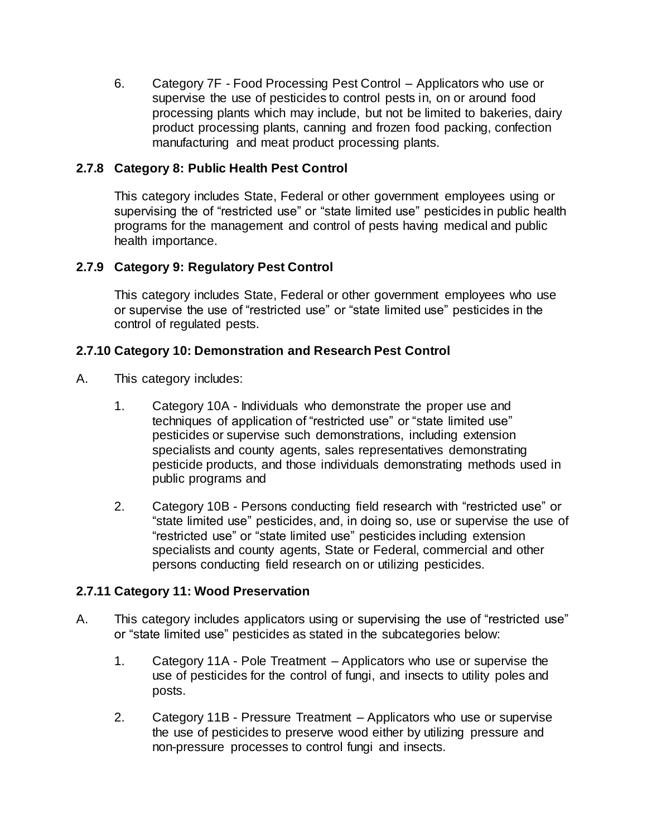6. Category 7F - Food Processing Pest Control – Applicators who use or supervise the use of pesticides to control pests in, on or around food processing plants which may include, but not be limited to bakeries, dairy product processing plants, canning and frozen food packing, confection manufacturing and meat product processing plants.

### **2.7.8 Category 8: Public Health Pest Control**

This category includes State, Federal or other government employees using or supervising the of "restricted use" or "state limited use" pesticides in public health programs for the management and control of pests having medical and public health importance.

### **2.7.9 Category 9: Regulatory Pest Control**

This category includes State, Federal or other government employees who use or supervise the use of "restricted use" or "state limited use" pesticides in the control of regulated pests.

#### **2.7.10 Category 10: Demonstration and Research Pest Control**

- A. This category includes:
	- 1. Category 10A Individuals who demonstrate the proper use and techniques of application of "restricted use" or "state limited use" pesticides or supervise such demonstrations, including extension specialists and county agents, sales representatives demonstrating pesticide products, and those individuals demonstrating methods used in public programs and
	- 2. Category 10B Persons conducting field research with "restricted use" or "state limited use" pesticides, and, in doing so, use or supervise the use of "restricted use" or "state limited use" pesticides including extension specialists and county agents, State or Federal, commercial and other persons conducting field research on or utilizing pesticides.

### **2.7.11 Category 11: Wood Preservation**

- A. This category includes applicators using or supervising the use of "restricted use" or "state limited use" pesticides as stated in the subcategories below:
	- 1. Category 11A Pole Treatment Applicators who use or supervise the use of pesticides for the control of fungi, and insects to utility poles and posts.
	- 2. Category 11B Pressure Treatment Applicators who use or supervise the use of pesticides to preserve wood either by utilizing pressure and non-pressure processes to control fungi and insects.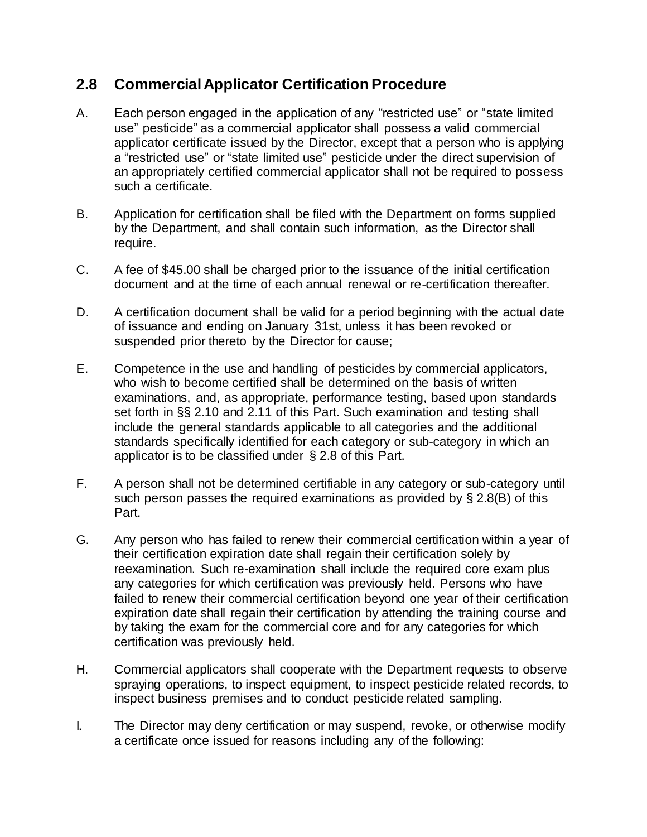## **2.8 Commercial Applicator Certification Procedure**

- A. Each person engaged in the application of any "restricted use" or "state limited use" pesticide" as a commercial applicator shall possess a valid commercial applicator certificate issued by the Director, except that a person who is applying a "restricted use" or "state limited use" pesticide under the direct supervision of an appropriately certified commercial applicator shall not be required to possess such a certificate.
- B. Application for certification shall be filed with the Department on forms supplied by the Department, and shall contain such information, as the Director shall require.
- C. A fee of \$45.00 shall be charged prior to the issuance of the initial certification document and at the time of each annual renewal or re-certification thereafter.
- D. A certification document shall be valid for a period beginning with the actual date of issuance and ending on January 31st, unless it has been revoked or suspended prior thereto by the Director for cause;
- E. Competence in the use and handling of pesticides by commercial applicators, who wish to become certified shall be determined on the basis of written examinations, and, as appropriate, performance testing, based upon standards set forth in §§ 2.10 and 2.11 of this Part. Such examination and testing shall include the general standards applicable to all categories and the additional standards specifically identified for each category or sub-category in which an applicator is to be classified under § 2.8 of this Part.
- F. A person shall not be determined certifiable in any category or sub-category until such person passes the required examinations as provided by § 2.8(B) of this Part.
- G. Any person who has failed to renew their commercial certification within a year of their certification expiration date shall regain their certification solely by reexamination. Such re-examination shall include the required core exam plus any categories for which certification was previously held. Persons who have failed to renew their commercial certification beyond one year of their certification expiration date shall regain their certification by attending the training course and by taking the exam for the commercial core and for any categories for which certification was previously held.
- H. Commercial applicators shall cooperate with the Department requests to observe spraying operations, to inspect equipment, to inspect pesticide related records, to inspect business premises and to conduct pesticide related sampling.
- I. The Director may deny certification or may suspend, revoke, or otherwise modify a certificate once issued for reasons including any of the following: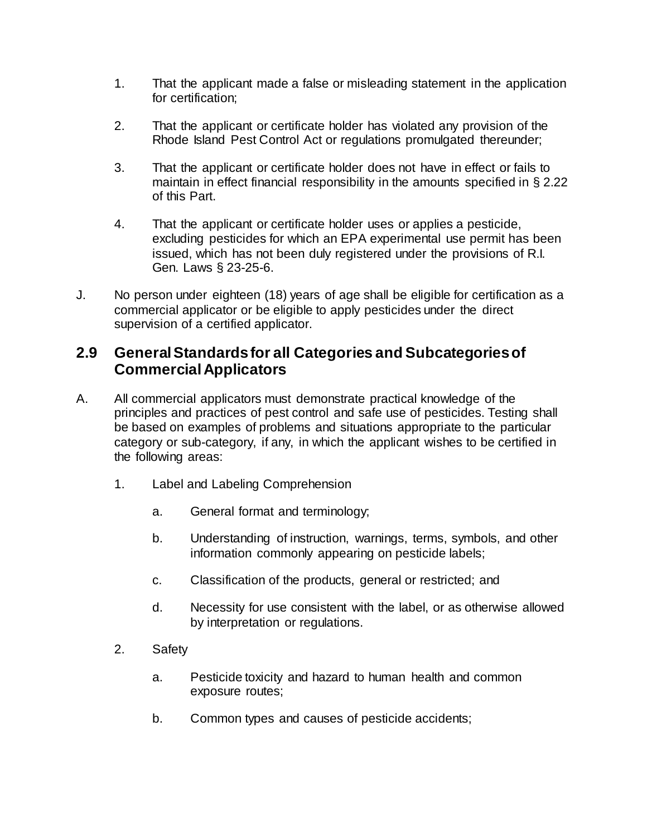- 1. That the applicant made a false or misleading statement in the application for certification;
- 2. That the applicant or certificate holder has violated any provision of the Rhode Island Pest Control Act or regulations promulgated thereunder;
- 3. That the applicant or certificate holder does not have in effect or fails to maintain in effect financial responsibility in the amounts specified in § 2.22 of this Part.
- 4. That the applicant or certificate holder uses or applies a pesticide, excluding pesticides for which an EPA experimental use permit has been issued, which has not been duly registered under the provisions of R.I. Gen. Laws § 23-25-6.
- J. No person under eighteen (18) years of age shall be eligible for certification as a commercial applicator or be eligible to apply pesticides under the direct supervision of a certified applicator.

## **2.9 General Standards for all Categories and Subcategories of Commercial Applicators**

- A. All commercial applicators must demonstrate practical knowledge of the principles and practices of pest control and safe use of pesticides. Testing shall be based on examples of problems and situations appropriate to the particular category or sub-category, if any, in which the applicant wishes to be certified in the following areas:
	- 1. Label and Labeling Comprehension
		- a. General format and terminology;
		- b. Understanding of instruction, warnings, terms, symbols, and other information commonly appearing on pesticide labels;
		- c. Classification of the products, general or restricted; and
		- d. Necessity for use consistent with the label, or as otherwise allowed by interpretation or regulations.
	- 2. Safety
		- a. Pesticide toxicity and hazard to human health and common exposure routes;
		- b. Common types and causes of pesticide accidents;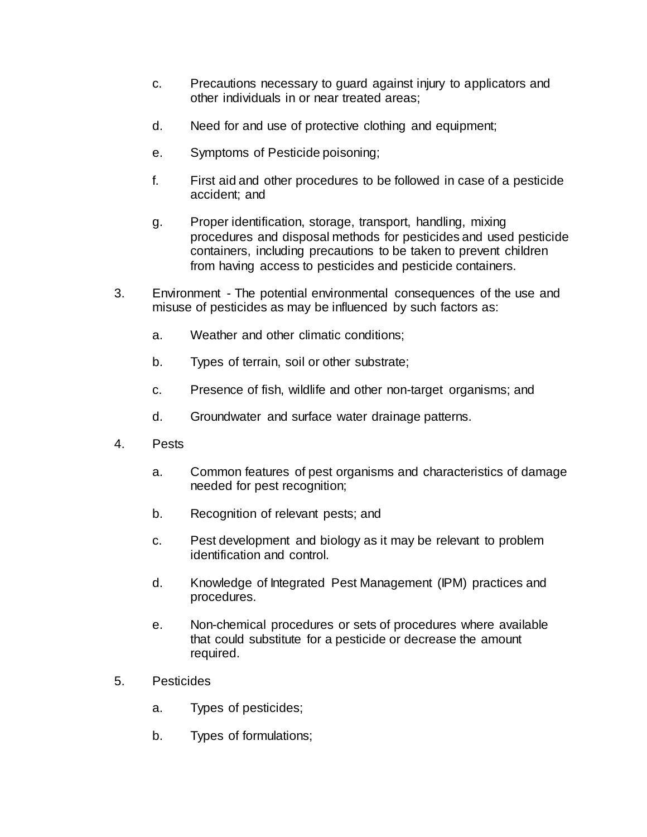- c. Precautions necessary to guard against injury to applicators and other individuals in or near treated areas;
- d. Need for and use of protective clothing and equipment;
- e. Symptoms of Pesticide poisoning;
- f. First aid and other procedures to be followed in case of a pesticide accident; and
- g. Proper identification, storage, transport, handling, mixing procedures and disposal methods for pesticides and used pesticide containers, including precautions to be taken to prevent children from having access to pesticides and pesticide containers.
- 3. Environment The potential environmental consequences of the use and misuse of pesticides as may be influenced by such factors as:
	- a. Weather and other climatic conditions;
	- b. Types of terrain, soil or other substrate;
	- c. Presence of fish, wildlife and other non-target organisms; and
	- d. Groundwater and surface water drainage patterns.
- 4. Pests
	- a. Common features of pest organisms and characteristics of damage needed for pest recognition;
	- b. Recognition of relevant pests; and
	- c. Pest development and biology as it may be relevant to problem identification and control.
	- d. Knowledge of Integrated Pest Management (IPM) practices and procedures.
	- e. Non-chemical procedures or sets of procedures where available that could substitute for a pesticide or decrease the amount required.
- 5. Pesticides
	- a. Types of pesticides;
	- b. Types of formulations;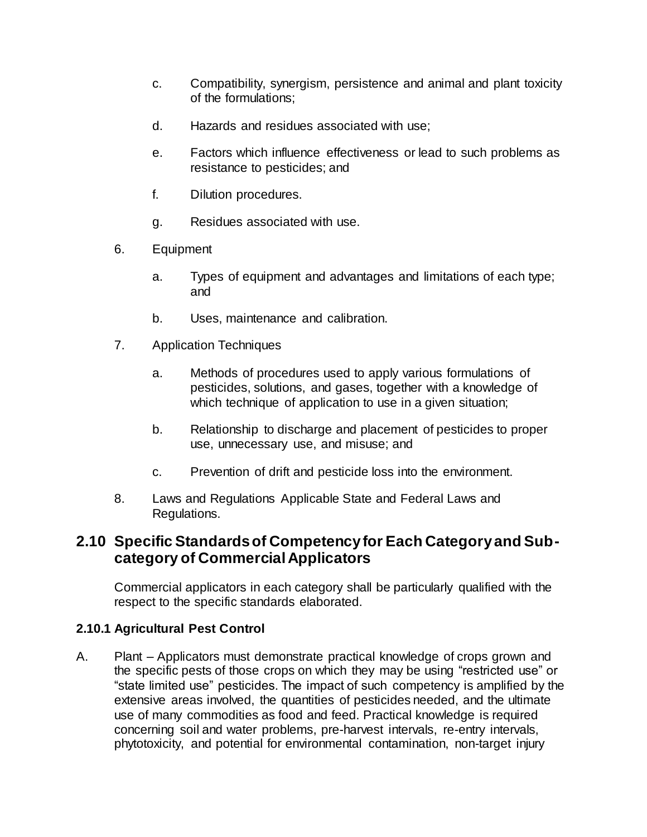- c. Compatibility, synergism, persistence and animal and plant toxicity of the formulations;
- d. Hazards and residues associated with use;
- e. Factors which influence effectiveness or lead to such problems as resistance to pesticides; and
- f. Dilution procedures.
- g. Residues associated with use.
- 6. Equipment
	- a. Types of equipment and advantages and limitations of each type; and
	- b. Uses, maintenance and calibration.
- 7. Application Techniques
	- a. Methods of procedures used to apply various formulations of pesticides, solutions, and gases, together with a knowledge of which technique of application to use in a given situation;
	- b. Relationship to discharge and placement of pesticides to proper use, unnecessary use, and misuse; and
	- c. Prevention of drift and pesticide loss into the environment.
- 8. Laws and Regulations Applicable State and Federal Laws and Regulations.

## **2.10 Specific Standards of Competency for Each Category and Subcategory of Commercial Applicators**

Commercial applicators in each category shall be particularly qualified with the respect to the specific standards elaborated.

### **2.10.1 Agricultural Pest Control**

A. Plant – Applicators must demonstrate practical knowledge of crops grown and the specific pests of those crops on which they may be using "restricted use" or "state limited use" pesticides. The impact of such competency is amplified by the extensive areas involved, the quantities of pesticides needed, and the ultimate use of many commodities as food and feed. Practical knowledge is required concerning soil and water problems, pre-harvest intervals, re-entry intervals, phytotoxicity, and potential for environmental contamination, non-target injury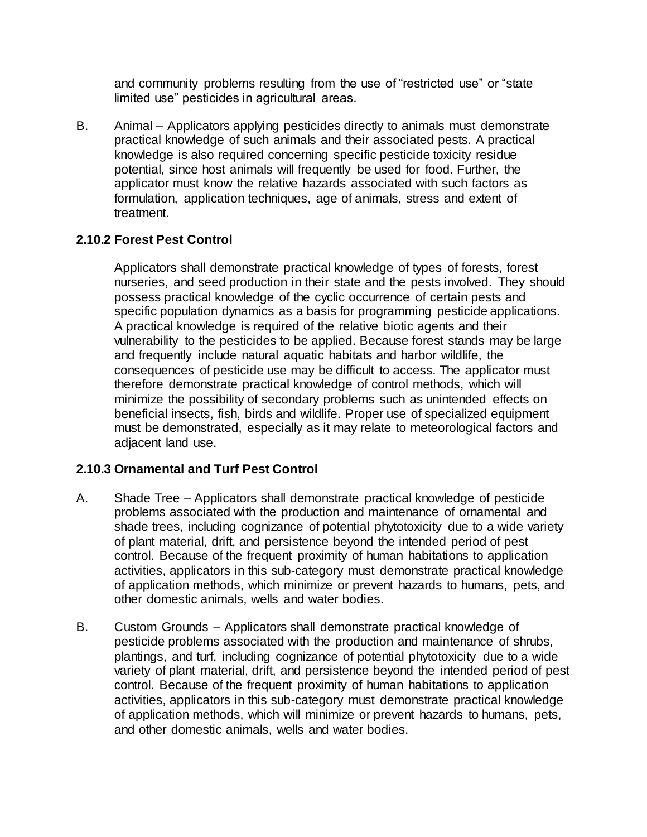and community problems resulting from the use of "restricted use" or "state limited use" pesticides in agricultural areas.

B. Animal – Applicators applying pesticides directly to animals must demonstrate practical knowledge of such animals and their associated pests. A practical knowledge is also required concerning specific pesticide toxicity residue potential, since host animals will frequently be used for food. Further, the applicator must know the relative hazards associated with such factors as formulation, application techniques, age of animals, stress and extent of treatment.

### **2.10.2 Forest Pest Control**

Applicators shall demonstrate practical knowledge of types of forests, forest nurseries, and seed production in their state and the pests involved. They should possess practical knowledge of the cyclic occurrence of certain pests and specific population dynamics as a basis for programming pesticide applications. A practical knowledge is required of the relative biotic agents and their vulnerability to the pesticides to be applied. Because forest stands may be large and frequently include natural aquatic habitats and harbor wildlife, the consequences of pesticide use may be difficult to access. The applicator must therefore demonstrate practical knowledge of control methods, which will minimize the possibility of secondary problems such as unintended effects on beneficial insects, fish, birds and wildlife. Proper use of specialized equipment must be demonstrated, especially as it may relate to meteorological factors and adjacent land use.

### **2.10.3 Ornamental and Turf Pest Control**

- A. Shade Tree Applicators shall demonstrate practical knowledge of pesticide problems associated with the production and maintenance of ornamental and shade trees, including cognizance of potential phytotoxicity due to a wide variety of plant material, drift, and persistence beyond the intended period of pest control. Because of the frequent proximity of human habitations to application activities, applicators in this sub-category must demonstrate practical knowledge of application methods, which minimize or prevent hazards to humans, pets, and other domestic animals, wells and water bodies.
- B. Custom Grounds Applicators shall demonstrate practical knowledge of pesticide problems associated with the production and maintenance of shrubs, plantings, and turf, including cognizance of potential phytotoxicity due to a wide variety of plant material, drift, and persistence beyond the intended period of pest control. Because of the frequent proximity of human habitations to application activities, applicators in this sub-category must demonstrate practical knowledge of application methods, which will minimize or prevent hazards to humans, pets, and other domestic animals, wells and water bodies.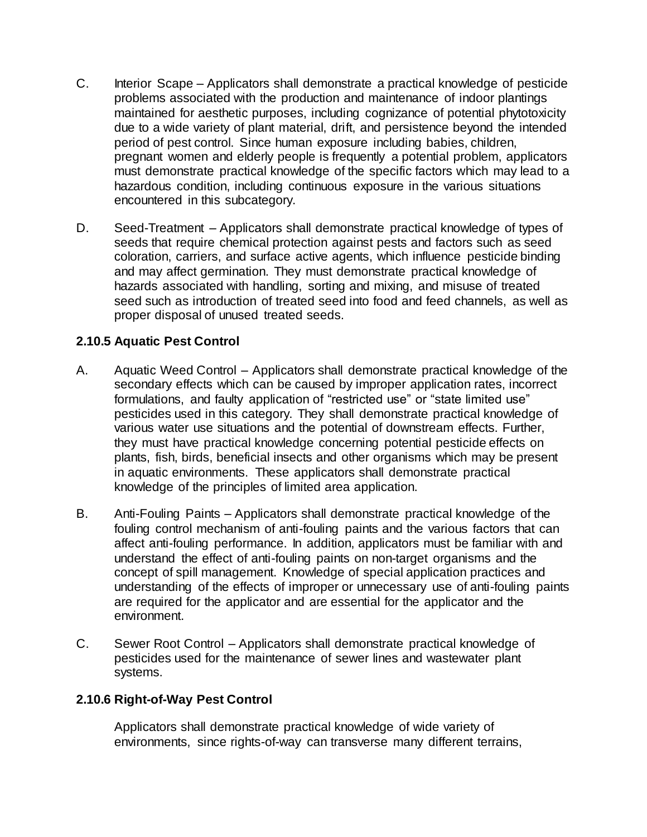- C. Interior Scape Applicators shall demonstrate a practical knowledge of pesticide problems associated with the production and maintenance of indoor plantings maintained for aesthetic purposes, including cognizance of potential phytotoxicity due to a wide variety of plant material, drift, and persistence beyond the intended period of pest control. Since human exposure including babies, children, pregnant women and elderly people is frequently a potential problem, applicators must demonstrate practical knowledge of the specific factors which may lead to a hazardous condition, including continuous exposure in the various situations encountered in this subcategory.
- D. Seed-Treatment Applicators shall demonstrate practical knowledge of types of seeds that require chemical protection against pests and factors such as seed coloration, carriers, and surface active agents, which influence pesticide binding and may affect germination. They must demonstrate practical knowledge of hazards associated with handling, sorting and mixing, and misuse of treated seed such as introduction of treated seed into food and feed channels, as well as proper disposal of unused treated seeds.

#### **2.10.5 Aquatic Pest Control**

- A. Aquatic Weed Control Applicators shall demonstrate practical knowledge of the secondary effects which can be caused by improper application rates, incorrect formulations, and faulty application of "restricted use" or "state limited use" pesticides used in this category. They shall demonstrate practical knowledge of various water use situations and the potential of downstream effects. Further, they must have practical knowledge concerning potential pesticide effects on plants, fish, birds, beneficial insects and other organisms which may be present in aquatic environments. These applicators shall demonstrate practical knowledge of the principles of limited area application.
- B. Anti-Fouling Paints Applicators shall demonstrate practical knowledge of the fouling control mechanism of anti-fouling paints and the various factors that can affect anti-fouling performance. In addition, applicators must be familiar with and understand the effect of anti-fouling paints on non-target organisms and the concept of spill management. Knowledge of special application practices and understanding of the effects of improper or unnecessary use of anti-fouling paints are required for the applicator and are essential for the applicator and the environment.
- C. Sewer Root Control Applicators shall demonstrate practical knowledge of pesticides used for the maintenance of sewer lines and wastewater plant systems.

#### **2.10.6 Right-of-Way Pest Control**

Applicators shall demonstrate practical knowledge of wide variety of environments, since rights-of-way can transverse many different terrains,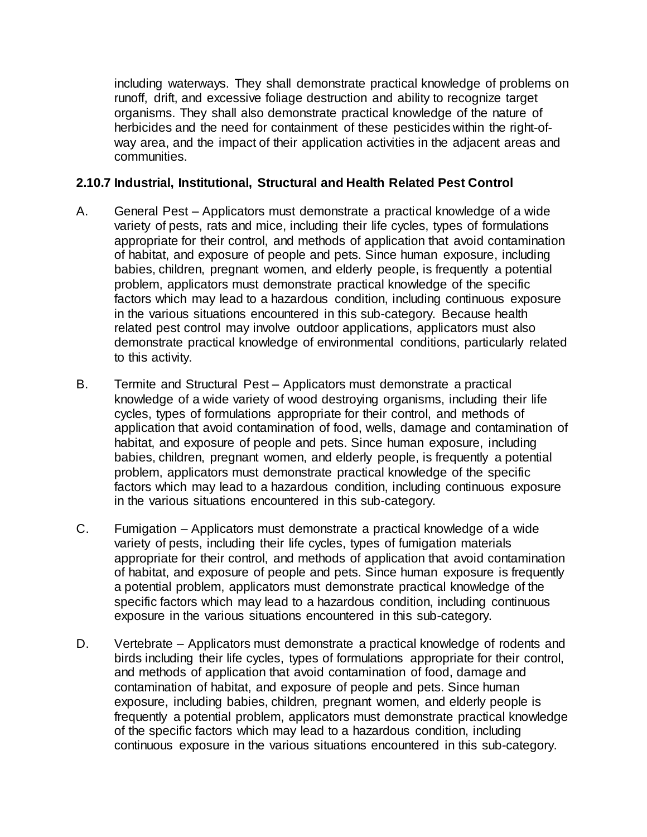including waterways. They shall demonstrate practical knowledge of problems on runoff, drift, and excessive foliage destruction and ability to recognize target organisms. They shall also demonstrate practical knowledge of the nature of herbicides and the need for containment of these pesticides within the right-ofway area, and the impact of their application activities in the adjacent areas and communities.

#### **2.10.7 Industrial, Institutional, Structural and Health Related Pest Control**

- A. General Pest Applicators must demonstrate a practical knowledge of a wide variety of pests, rats and mice, including their life cycles, types of formulations appropriate for their control, and methods of application that avoid contamination of habitat, and exposure of people and pets. Since human exposure, including babies, children, pregnant women, and elderly people, is frequently a potential problem, applicators must demonstrate practical knowledge of the specific factors which may lead to a hazardous condition, including continuous exposure in the various situations encountered in this sub-category. Because health related pest control may involve outdoor applications, applicators must also demonstrate practical knowledge of environmental conditions, particularly related to this activity.
- B. Termite and Structural Pest Applicators must demonstrate a practical knowledge of a wide variety of wood destroying organisms, including their life cycles, types of formulations appropriate for their control, and methods of application that avoid contamination of food, wells, damage and contamination of habitat, and exposure of people and pets. Since human exposure, including babies, children, pregnant women, and elderly people, is frequently a potential problem, applicators must demonstrate practical knowledge of the specific factors which may lead to a hazardous condition, including continuous exposure in the various situations encountered in this sub-category.
- C. Fumigation Applicators must demonstrate a practical knowledge of a wide variety of pests, including their life cycles, types of fumigation materials appropriate for their control, and methods of application that avoid contamination of habitat, and exposure of people and pets. Since human exposure is frequently a potential problem, applicators must demonstrate practical knowledge of the specific factors which may lead to a hazardous condition, including continuous exposure in the various situations encountered in this sub-category.
- D. Vertebrate Applicators must demonstrate a practical knowledge of rodents and birds including their life cycles, types of formulations appropriate for their control, and methods of application that avoid contamination of food, damage and contamination of habitat, and exposure of people and pets. Since human exposure, including babies, children, pregnant women, and elderly people is frequently a potential problem, applicators must demonstrate practical knowledge of the specific factors which may lead to a hazardous condition, including continuous exposure in the various situations encountered in this sub-category.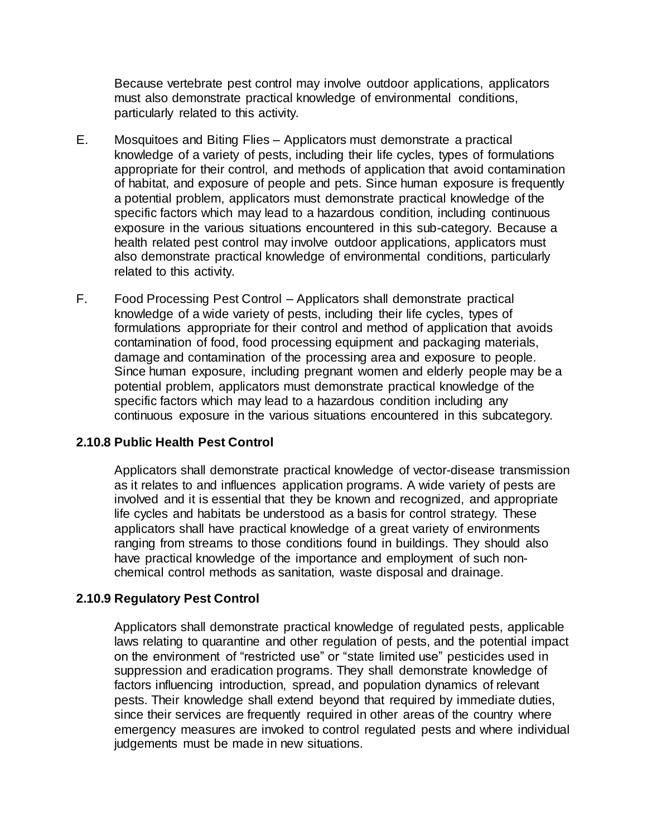Because vertebrate pest control may involve outdoor applications, applicators must also demonstrate practical knowledge of environmental conditions, particularly related to this activity.

- E. Mosquitoes and Biting Flies Applicators must demonstrate a practical knowledge of a variety of pests, including their life cycles, types of formulations appropriate for their control, and methods of application that avoid contamination of habitat, and exposure of people and pets. Since human exposure is frequently a potential problem, applicators must demonstrate practical knowledge of the specific factors which may lead to a hazardous condition, including continuous exposure in the various situations encountered in this sub-category. Because a health related pest control may involve outdoor applications, applicators must also demonstrate practical knowledge of environmental conditions, particularly related to this activity.
- F. Food Processing Pest Control Applicators shall demonstrate practical knowledge of a wide variety of pests, including their life cycles, types of formulations appropriate for their control and method of application that avoids contamination of food, food processing equipment and packaging materials, damage and contamination of the processing area and exposure to people. Since human exposure, including pregnant women and elderly people may be a potential problem, applicators must demonstrate practical knowledge of the specific factors which may lead to a hazardous condition including any continuous exposure in the various situations encountered in this subcategory.

#### **2.10.8 Public Health Pest Control**

Applicators shall demonstrate practical knowledge of vector-disease transmission as it relates to and influences application programs. A wide variety of pests are involved and it is essential that they be known and recognized, and appropriate life cycles and habitats be understood as a basis for control strategy. These applicators shall have practical knowledge of a great variety of environments ranging from streams to those conditions found in buildings. They should also have practical knowledge of the importance and employment of such nonchemical control methods as sanitation, waste disposal and drainage.

#### **2.10.9 Regulatory Pest Control**

Applicators shall demonstrate practical knowledge of regulated pests, applicable laws relating to quarantine and other regulation of pests, and the potential impact on the environment of "restricted use" or "state limited use" pesticides used in suppression and eradication programs. They shall demonstrate knowledge of factors influencing introduction, spread, and population dynamics of relevant pests. Their knowledge shall extend beyond that required by immediate duties, since their services are frequently required in other areas of the country where emergency measures are invoked to control regulated pests and where individual judgements must be made in new situations.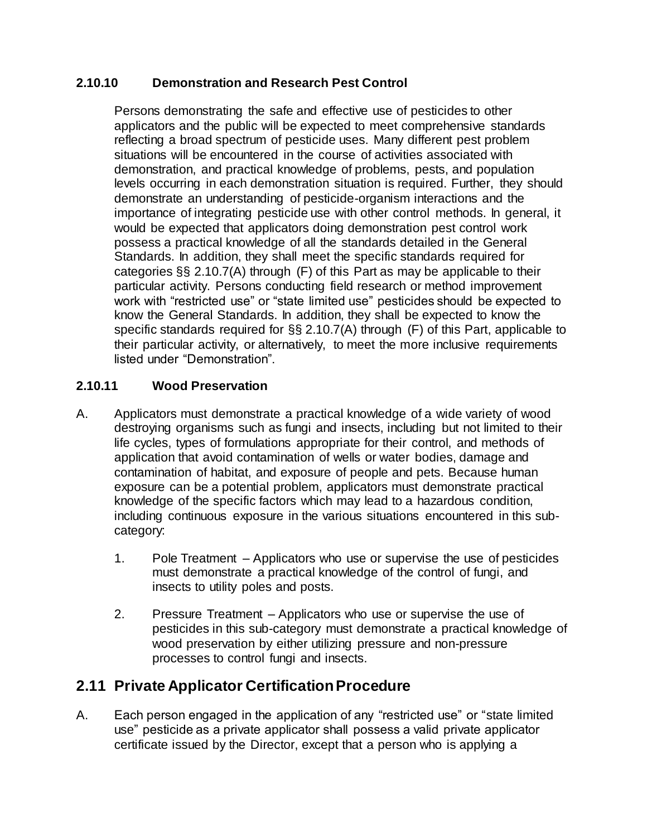### **2.10.10 Demonstration and Research Pest Control**

Persons demonstrating the safe and effective use of pesticides to other applicators and the public will be expected to meet comprehensive standards reflecting a broad spectrum of pesticide uses. Many different pest problem situations will be encountered in the course of activities associated with demonstration, and practical knowledge of problems, pests, and population levels occurring in each demonstration situation is required. Further, they should demonstrate an understanding of pesticide-organism interactions and the importance of integrating pesticide use with other control methods. In general, it would be expected that applicators doing demonstration pest control work possess a practical knowledge of all the standards detailed in the General Standards. In addition, they shall meet the specific standards required for categories §§ 2.10.7(A) through (F) of this Part as may be applicable to their particular activity. Persons conducting field research or method improvement work with "restricted use" or "state limited use" pesticides should be expected to know the General Standards. In addition, they shall be expected to know the specific standards required for §§ 2.10.7(A) through (F) of this Part, applicable to their particular activity, or alternatively, to meet the more inclusive requirements listed under "Demonstration".

#### **2.10.11 Wood Preservation**

- A. Applicators must demonstrate a practical knowledge of a wide variety of wood destroying organisms such as fungi and insects, including but not limited to their life cycles, types of formulations appropriate for their control, and methods of application that avoid contamination of wells or water bodies, damage and contamination of habitat, and exposure of people and pets. Because human exposure can be a potential problem, applicators must demonstrate practical knowledge of the specific factors which may lead to a hazardous condition, including continuous exposure in the various situations encountered in this subcategory:
	- 1. Pole Treatment Applicators who use or supervise the use of pesticides must demonstrate a practical knowledge of the control of fungi, and insects to utility poles and posts.
	- 2. Pressure Treatment Applicators who use or supervise the use of pesticides in this sub-category must demonstrate a practical knowledge of wood preservation by either utilizing pressure and non-pressure processes to control fungi and insects.

## **2.11 Private Applicator Certification Procedure**

A. Each person engaged in the application of any "restricted use" or "state limited use" pesticide as a private applicator shall possess a valid private applicator certificate issued by the Director, except that a person who is applying a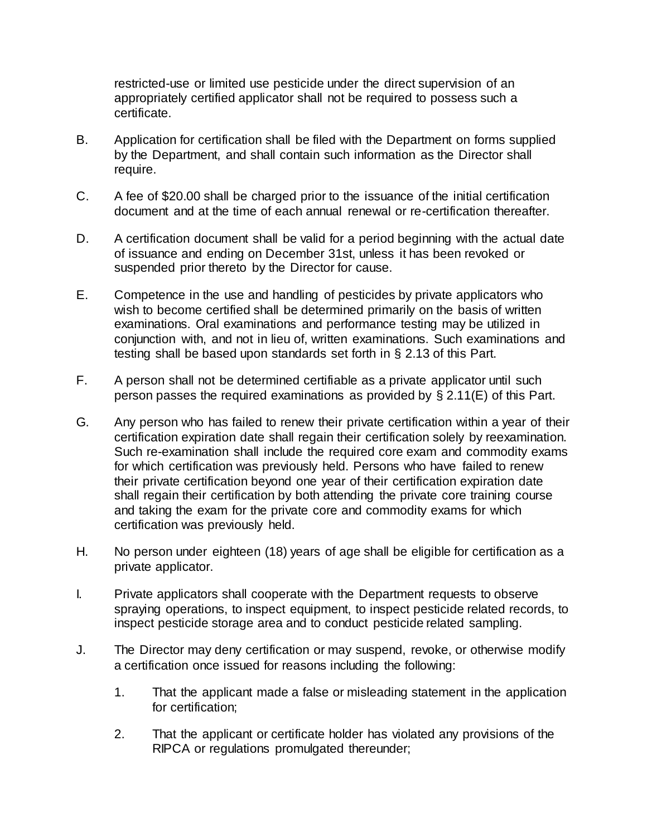restricted-use or limited use pesticide under the direct supervision of an appropriately certified applicator shall not be required to possess such a certificate.

- B. Application for certification shall be filed with the Department on forms supplied by the Department, and shall contain such information as the Director shall require.
- C. A fee of \$20.00 shall be charged prior to the issuance of the initial certification document and at the time of each annual renewal or re-certification thereafter.
- D. A certification document shall be valid for a period beginning with the actual date of issuance and ending on December 31st, unless it has been revoked or suspended prior thereto by the Director for cause.
- E. Competence in the use and handling of pesticides by private applicators who wish to become certified shall be determined primarily on the basis of written examinations. Oral examinations and performance testing may be utilized in conjunction with, and not in lieu of, written examinations. Such examinations and testing shall be based upon standards set forth in § 2.13 of this Part.
- F. A person shall not be determined certifiable as a private applicator until such person passes the required examinations as provided by § 2.11(E) of this Part.
- G. Any person who has failed to renew their private certification within a year of their certification expiration date shall regain their certification solely by reexamination. Such re-examination shall include the required core exam and commodity exams for which certification was previously held. Persons who have failed to renew their private certification beyond one year of their certification expiration date shall regain their certification by both attending the private core training course and taking the exam for the private core and commodity exams for which certification was previously held.
- H. No person under eighteen (18) years of age shall be eligible for certification as a private applicator.
- I. Private applicators shall cooperate with the Department requests to observe spraying operations, to inspect equipment, to inspect pesticide related records, to inspect pesticide storage area and to conduct pesticide related sampling.
- J. The Director may deny certification or may suspend, revoke, or otherwise modify a certification once issued for reasons including the following:
	- 1. That the applicant made a false or misleading statement in the application for certification;
	- 2. That the applicant or certificate holder has violated any provisions of the RIPCA or regulations promulgated thereunder;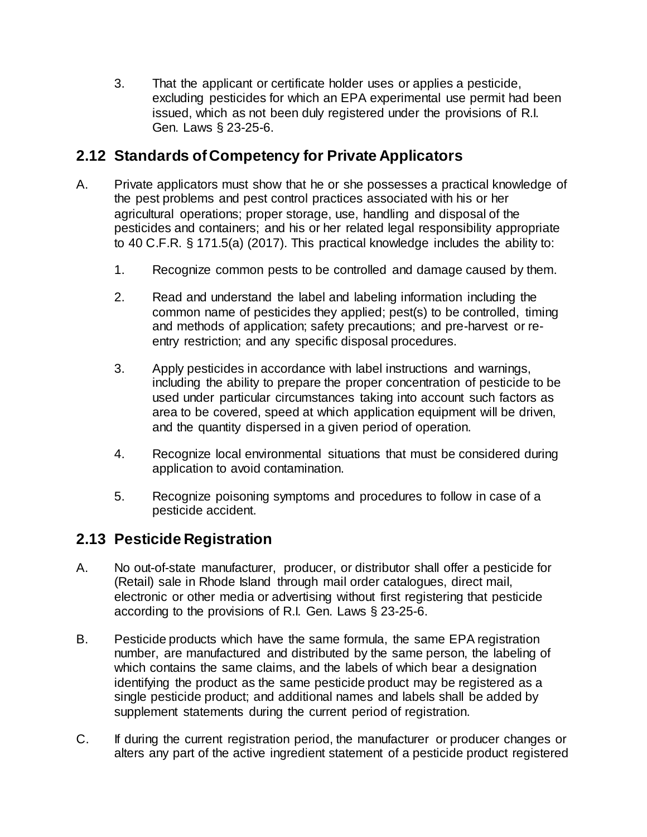3. That the applicant or certificate holder uses or applies a pesticide, excluding pesticides for which an EPA experimental use permit had been issued, which as not been duly registered under the provisions of R.I. Gen. Laws § 23-25-6.

# **2.12 Standards of Competency for Private Applicators**

- A. Private applicators must show that he or she possesses a practical knowledge of the pest problems and pest control practices associated with his or her agricultural operations; proper storage, use, handling and disposal of the pesticides and containers; and his or her related legal responsibility appropriate to 40 C.F.R. § 171.5(a) (2017). This practical knowledge includes the ability to:
	- 1. Recognize common pests to be controlled and damage caused by them.
	- 2. Read and understand the label and labeling information including the common name of pesticides they applied; pest(s) to be controlled, timing and methods of application; safety precautions; and pre-harvest or reentry restriction; and any specific disposal procedures.
	- 3. Apply pesticides in accordance with label instructions and warnings, including the ability to prepare the proper concentration of pesticide to be used under particular circumstances taking into account such factors as area to be covered, speed at which application equipment will be driven, and the quantity dispersed in a given period of operation.
	- 4. Recognize local environmental situations that must be considered during application to avoid contamination.
	- 5. Recognize poisoning symptoms and procedures to follow in case of a pesticide accident.

# **2.13 Pesticide Registration**

- A. No out-of-state manufacturer, producer, or distributor shall offer a pesticide for (Retail) sale in Rhode Island through mail order catalogues, direct mail, electronic or other media or advertising without first registering that pesticide according to the provisions of R.I. Gen. Laws § 23-25-6.
- B. Pesticide products which have the same formula, the same EPA registration number, are manufactured and distributed by the same person, the labeling of which contains the same claims, and the labels of which bear a designation identifying the product as the same pesticide product may be registered as a single pesticide product; and additional names and labels shall be added by supplement statements during the current period of registration.
- C. If during the current registration period, the manufacturer or producer changes or alters any part of the active ingredient statement of a pesticide product registered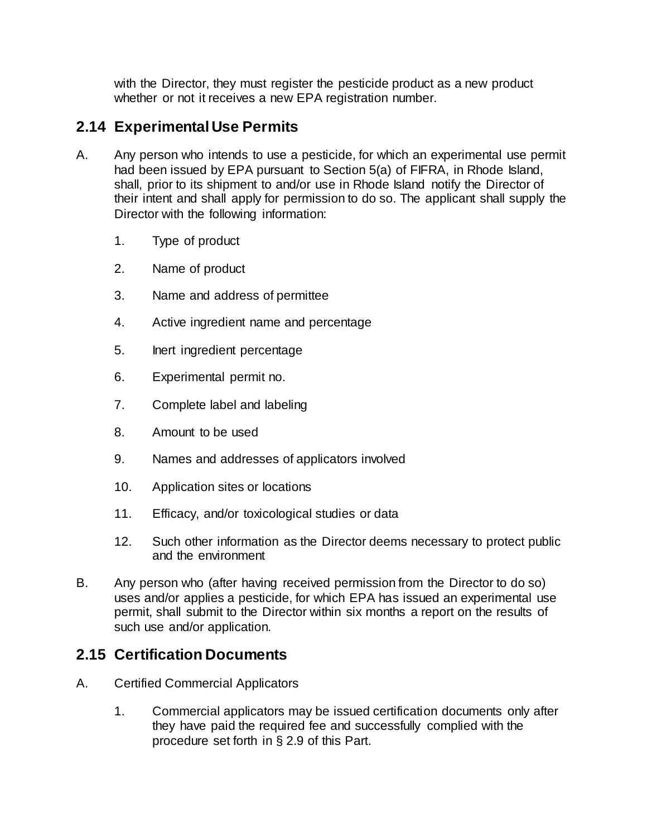with the Director, they must register the pesticide product as a new product whether or not it receives a new EPA registration number.

# **2.14 Experimental Use Permits**

- A. Any person who intends to use a pesticide, for which an experimental use permit had been issued by EPA pursuant to Section 5(a) of FIFRA, in Rhode Island, shall, prior to its shipment to and/or use in Rhode Island notify the Director of their intent and shall apply for permission to do so. The applicant shall supply the Director with the following information:
	- 1. Type of product
	- 2. Name of product
	- 3. Name and address of permittee
	- 4. Active ingredient name and percentage
	- 5. Inert ingredient percentage
	- 6. Experimental permit no.
	- 7. Complete label and labeling
	- 8. Amount to be used
	- 9. Names and addresses of applicators involved
	- 10. Application sites or locations
	- 11. Efficacy, and/or toxicological studies or data
	- 12. Such other information as the Director deems necessary to protect public and the environment
- B. Any person who (after having received permission from the Director to do so) uses and/or applies a pesticide, for which EPA has issued an experimental use permit, shall submit to the Director within six months a report on the results of such use and/or application.

# **2.15 Certification Documents**

- A. Certified Commercial Applicators
	- 1. Commercial applicators may be issued certification documents only after they have paid the required fee and successfully complied with the procedure set forth in § 2.9 of this Part.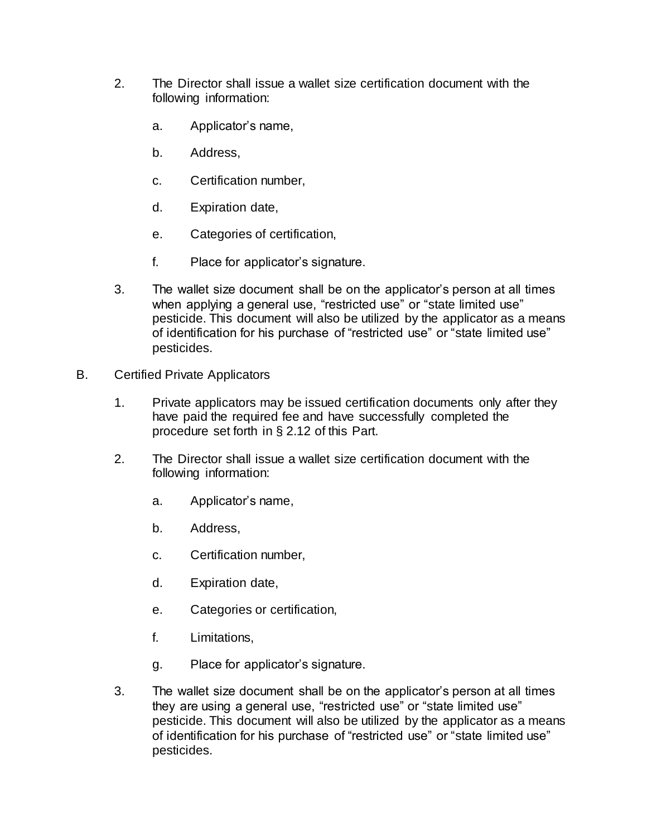- 2. The Director shall issue a wallet size certification document with the following information:
	- a. Applicator's name,
	- b. Address,
	- c. Certification number,
	- d. Expiration date,
	- e. Categories of certification,
	- f. Place for applicator's signature.
- 3. The wallet size document shall be on the applicator's person at all times when applying a general use, "restricted use" or "state limited use" pesticide. This document will also be utilized by the applicator as a means of identification for his purchase of "restricted use" or "state limited use" pesticides.
- B. Certified Private Applicators
	- 1. Private applicators may be issued certification documents only after they have paid the required fee and have successfully completed the procedure set forth in § 2.12 of this Part.
	- 2. The Director shall issue a wallet size certification document with the following information:
		- a. Applicator's name,
		- b. Address,
		- c. Certification number,
		- d. Expiration date,
		- e. Categories or certification,
		- f. Limitations,
		- g. Place for applicator's signature.
	- 3. The wallet size document shall be on the applicator's person at all times they are using a general use, "restricted use" or "state limited use" pesticide. This document will also be utilized by the applicator as a means of identification for his purchase of "restricted use" or "state limited use" pesticides.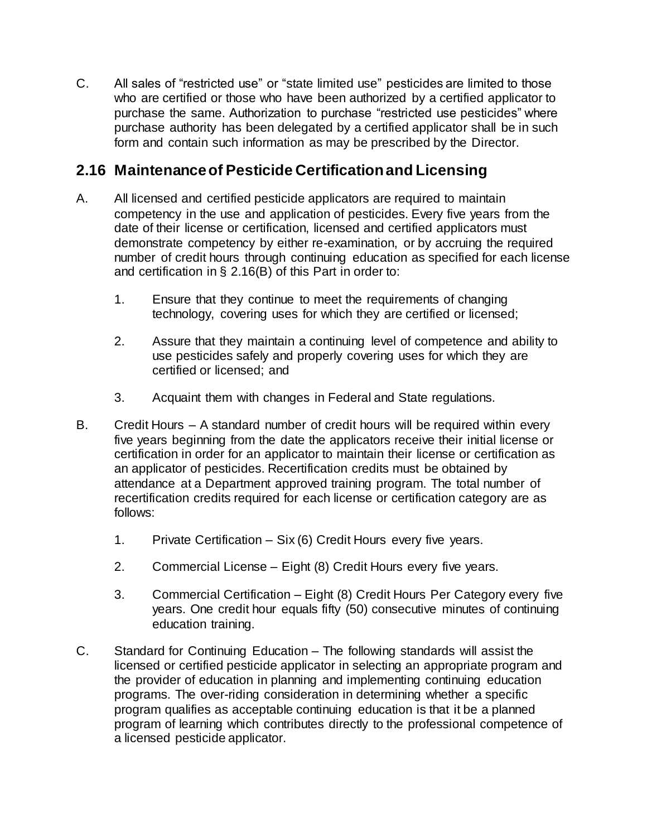C. All sales of "restricted use" or "state limited use" pesticides are limited to those who are certified or those who have been authorized by a certified applicator to purchase the same. Authorization to purchase "restricted use pesticides" where purchase authority has been delegated by a certified applicator shall be in such form and contain such information as may be prescribed by the Director.

# **2.16 Maintenance of Pesticide Certification and Licensing**

- A. All licensed and certified pesticide applicators are required to maintain competency in the use and application of pesticides. Every five years from the date of their license or certification, licensed and certified applicators must demonstrate competency by either re-examination, or by accruing the required number of credit hours through continuing education as specified for each license and certification in § 2.16(B) of this Part in order to:
	- 1. Ensure that they continue to meet the requirements of changing technology, covering uses for which they are certified or licensed;
	- 2. Assure that they maintain a continuing level of competence and ability to use pesticides safely and properly covering uses for which they are certified or licensed; and
	- 3. Acquaint them with changes in Federal and State regulations.
- B. Credit Hours A standard number of credit hours will be required within every five years beginning from the date the applicators receive their initial license or certification in order for an applicator to maintain their license or certification as an applicator of pesticides. Recertification credits must be obtained by attendance at a Department approved training program. The total number of recertification credits required for each license or certification category are as follows:
	- 1. Private Certification Six (6) Credit Hours every five years.
	- 2. Commercial License Eight (8) Credit Hours every five years.
	- 3. Commercial Certification Eight (8) Credit Hours Per Category every five years. One credit hour equals fifty (50) consecutive minutes of continuing education training.
- C. Standard for Continuing Education The following standards will assist the licensed or certified pesticide applicator in selecting an appropriate program and the provider of education in planning and implementing continuing education programs. The over-riding consideration in determining whether a specific program qualifies as acceptable continuing education is that it be a planned program of learning which contributes directly to the professional competence of a licensed pesticide applicator.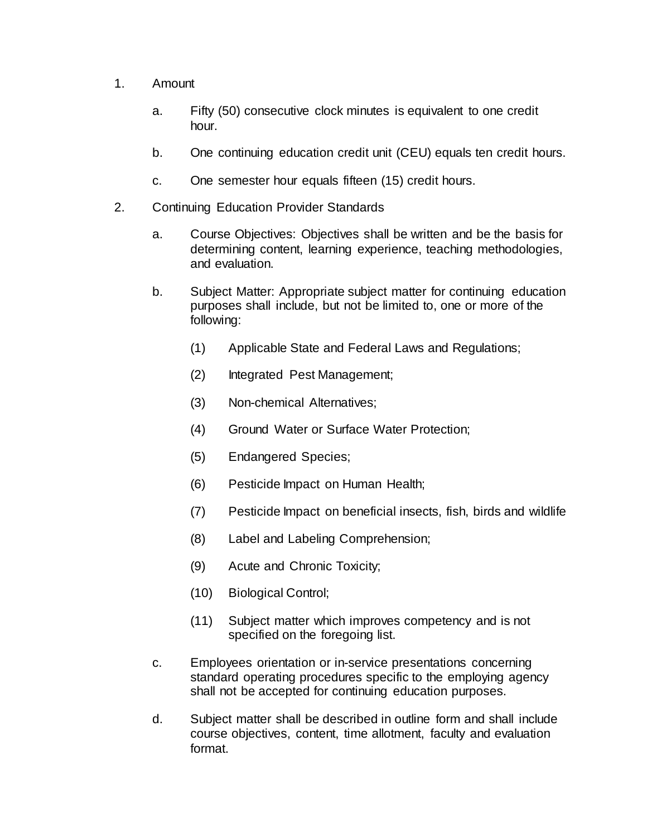- 1. Amount
	- a. Fifty (50) consecutive clock minutes is equivalent to one credit hour.
	- b. One continuing education credit unit (CEU) equals ten credit hours.
	- c. One semester hour equals fifteen (15) credit hours.
- 2. Continuing Education Provider Standards
	- a. Course Objectives: Objectives shall be written and be the basis for determining content, learning experience, teaching methodologies, and evaluation.
	- b. Subject Matter: Appropriate subject matter for continuing education purposes shall include, but not be limited to, one or more of the following:
		- (1) Applicable State and Federal Laws and Regulations;
		- (2) Integrated Pest Management;
		- (3) Non-chemical Alternatives;
		- (4) Ground Water or Surface Water Protection;
		- (5) Endangered Species;
		- (6) Pesticide Impact on Human Health;
		- (7) Pesticide Impact on beneficial insects, fish, birds and wildlife
		- (8) Label and Labeling Comprehension;
		- (9) Acute and Chronic Toxicity;
		- (10) Biological Control;
		- (11) Subject matter which improves competency and is not specified on the foregoing list.
	- c. Employees orientation or in-service presentations concerning standard operating procedures specific to the employing agency shall not be accepted for continuing education purposes.
	- d. Subject matter shall be described in outline form and shall include course objectives, content, time allotment, faculty and evaluation format.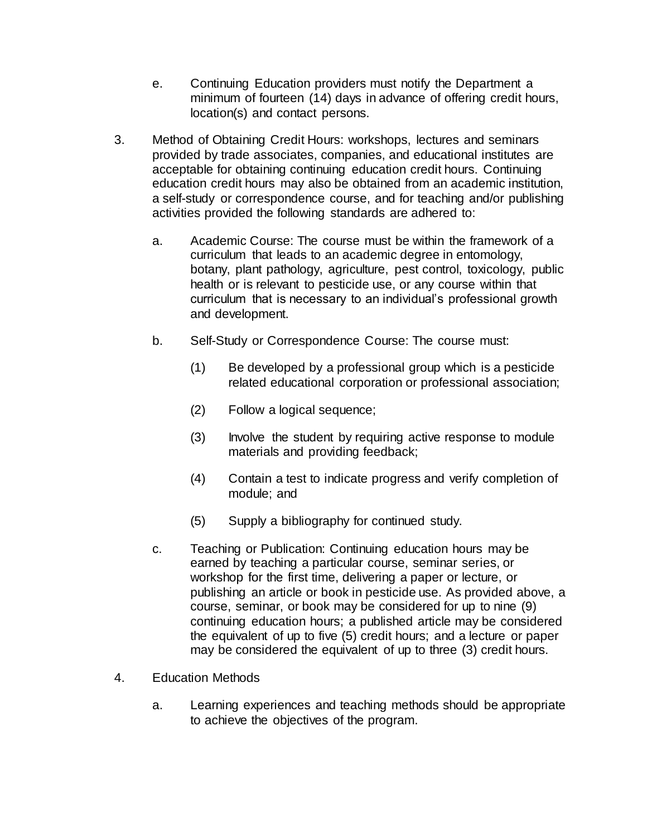- e. Continuing Education providers must notify the Department a minimum of fourteen (14) days in advance of offering credit hours, location(s) and contact persons.
- 3. Method of Obtaining Credit Hours: workshops, lectures and seminars provided by trade associates, companies, and educational institutes are acceptable for obtaining continuing education credit hours. Continuing education credit hours may also be obtained from an academic institution, a self-study or correspondence course, and for teaching and/or publishing activities provided the following standards are adhered to:
	- a. Academic Course: The course must be within the framework of a curriculum that leads to an academic degree in entomology, botany, plant pathology, agriculture, pest control, toxicology, public health or is relevant to pesticide use, or any course within that curriculum that is necessary to an individual's professional growth and development.
	- b. Self-Study or Correspondence Course: The course must:
		- (1) Be developed by a professional group which is a pesticide related educational corporation or professional association;
		- (2) Follow a logical sequence;
		- (3) Involve the student by requiring active response to module materials and providing feedback;
		- (4) Contain a test to indicate progress and verify completion of module; and
		- (5) Supply a bibliography for continued study.
	- c. Teaching or Publication: Continuing education hours may be earned by teaching a particular course, seminar series, or workshop for the first time, delivering a paper or lecture, or publishing an article or book in pesticide use. As provided above, a course, seminar, or book may be considered for up to nine (9) continuing education hours; a published article may be considered the equivalent of up to five (5) credit hours; and a lecture or paper may be considered the equivalent of up to three (3) credit hours.
- 4. Education Methods
	- a. Learning experiences and teaching methods should be appropriate to achieve the objectives of the program.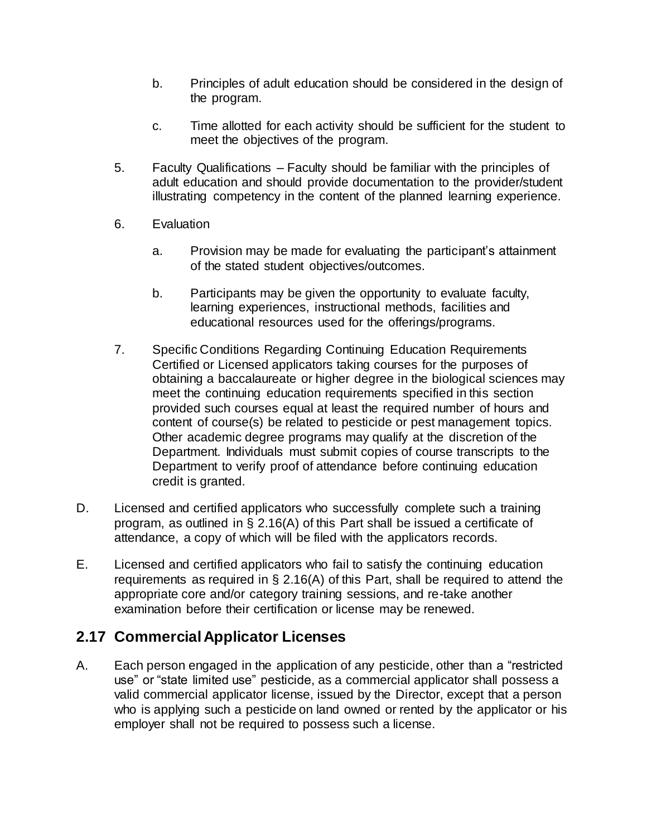- b. Principles of adult education should be considered in the design of the program.
- c. Time allotted for each activity should be sufficient for the student to meet the objectives of the program.
- 5. Faculty Qualifications Faculty should be familiar with the principles of adult education and should provide documentation to the provider/student illustrating competency in the content of the planned learning experience.
- 6. Evaluation
	- a. Provision may be made for evaluating the participant's attainment of the stated student objectives/outcomes.
	- b. Participants may be given the opportunity to evaluate faculty, learning experiences, instructional methods, facilities and educational resources used for the offerings/programs.
- 7. Specific Conditions Regarding Continuing Education Requirements Certified or Licensed applicators taking courses for the purposes of obtaining a baccalaureate or higher degree in the biological sciences may meet the continuing education requirements specified in this section provided such courses equal at least the required number of hours and content of course(s) be related to pesticide or pest management topics. Other academic degree programs may qualify at the discretion of the Department. Individuals must submit copies of course transcripts to the Department to verify proof of attendance before continuing education credit is granted.
- D. Licensed and certified applicators who successfully complete such a training program, as outlined in § 2.16(A) of this Part shall be issued a certificate of attendance, a copy of which will be filed with the applicators records.
- E. Licensed and certified applicators who fail to satisfy the continuing education requirements as required in § 2.16(A) of this Part, shall be required to attend the appropriate core and/or category training sessions, and re-take another examination before their certification or license may be renewed.

# **2.17 Commercial Applicator Licenses**

A. Each person engaged in the application of any pesticide, other than a "restricted use" or "state limited use" pesticide, as a commercial applicator shall possess a valid commercial applicator license, issued by the Director, except that a person who is applying such a pesticide on land owned or rented by the applicator or his employer shall not be required to possess such a license.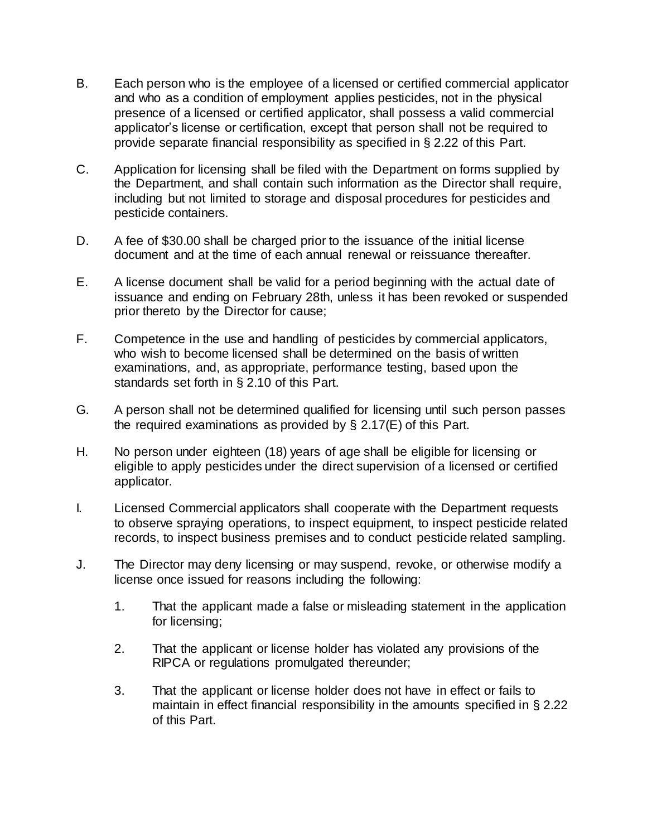- B. Each person who is the employee of a licensed or certified commercial applicator and who as a condition of employment applies pesticides, not in the physical presence of a licensed or certified applicator, shall possess a valid commercial applicator's license or certification, except that person shall not be required to provide separate financial responsibility as specified in § 2.22 of this Part.
- C. Application for licensing shall be filed with the Department on forms supplied by the Department, and shall contain such information as the Director shall require, including but not limited to storage and disposal procedures for pesticides and pesticide containers.
- D. A fee of \$30.00 shall be charged prior to the issuance of the initial license document and at the time of each annual renewal or reissuance thereafter.
- E. A license document shall be valid for a period beginning with the actual date of issuance and ending on February 28th, unless it has been revoked or suspended prior thereto by the Director for cause;
- F. Competence in the use and handling of pesticides by commercial applicators, who wish to become licensed shall be determined on the basis of written examinations, and, as appropriate, performance testing, based upon the standards set forth in § 2.10 of this Part.
- G. A person shall not be determined qualified for licensing until such person passes the required examinations as provided by § 2.17(E) of this Part.
- H. No person under eighteen (18) years of age shall be eligible for licensing or eligible to apply pesticides under the direct supervision of a licensed or certified applicator.
- I. Licensed Commercial applicators shall cooperate with the Department requests to observe spraying operations, to inspect equipment, to inspect pesticide related records, to inspect business premises and to conduct pesticide related sampling.
- J. The Director may deny licensing or may suspend, revoke, or otherwise modify a license once issued for reasons including the following:
	- 1. That the applicant made a false or misleading statement in the application for licensing;
	- 2. That the applicant or license holder has violated any provisions of the RIPCA or regulations promulgated thereunder;
	- 3. That the applicant or license holder does not have in effect or fails to maintain in effect financial responsibility in the amounts specified in § 2.22 of this Part.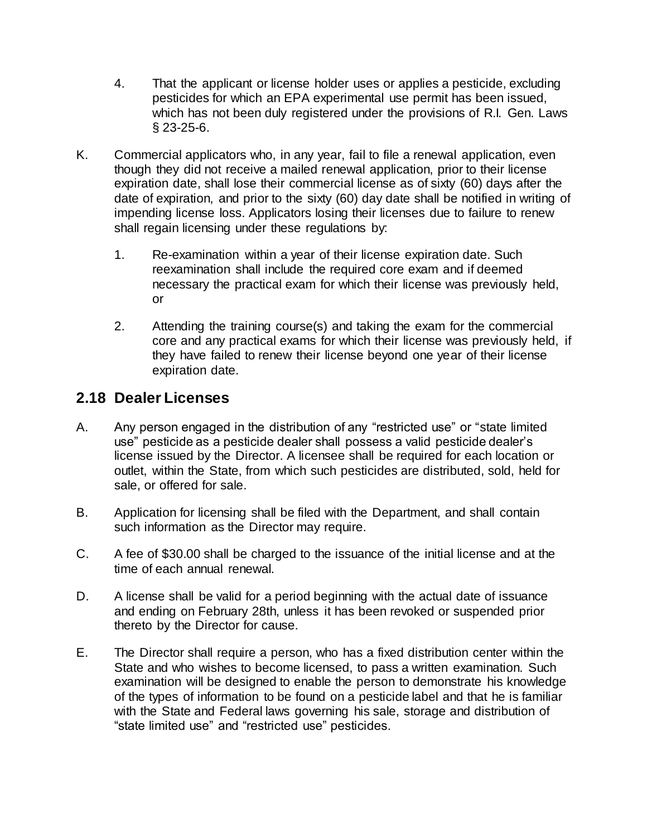- 4. That the applicant or license holder uses or applies a pesticide, excluding pesticides for which an EPA experimental use permit has been issued, which has not been duly registered under the provisions of R.I. Gen. Laws § 23-25-6.
- K. Commercial applicators who, in any year, fail to file a renewal application, even though they did not receive a mailed renewal application, prior to their license expiration date, shall lose their commercial license as of sixty (60) days after the date of expiration, and prior to the sixty (60) day date shall be notified in writing of impending license loss. Applicators losing their licenses due to failure to renew shall regain licensing under these regulations by:
	- 1. Re-examination within a year of their license expiration date. Such reexamination shall include the required core exam and if deemed necessary the practical exam for which their license was previously held, or
	- 2. Attending the training course(s) and taking the exam for the commercial core and any practical exams for which their license was previously held, if they have failed to renew their license beyond one year of their license expiration date.

## **2.18 Dealer Licenses**

- A. Any person engaged in the distribution of any "restricted use" or "state limited use" pesticide as a pesticide dealer shall possess a valid pesticide dealer's license issued by the Director. A licensee shall be required for each location or outlet, within the State, from which such pesticides are distributed, sold, held for sale, or offered for sale.
- B. Application for licensing shall be filed with the Department, and shall contain such information as the Director may require.
- C. A fee of \$30.00 shall be charged to the issuance of the initial license and at the time of each annual renewal.
- D. A license shall be valid for a period beginning with the actual date of issuance and ending on February 28th, unless it has been revoked or suspended prior thereto by the Director for cause.
- E. The Director shall require a person, who has a fixed distribution center within the State and who wishes to become licensed, to pass a written examination. Such examination will be designed to enable the person to demonstrate his knowledge of the types of information to be found on a pesticide label and that he is familiar with the State and Federal laws governing his sale, storage and distribution of "state limited use" and "restricted use" pesticides.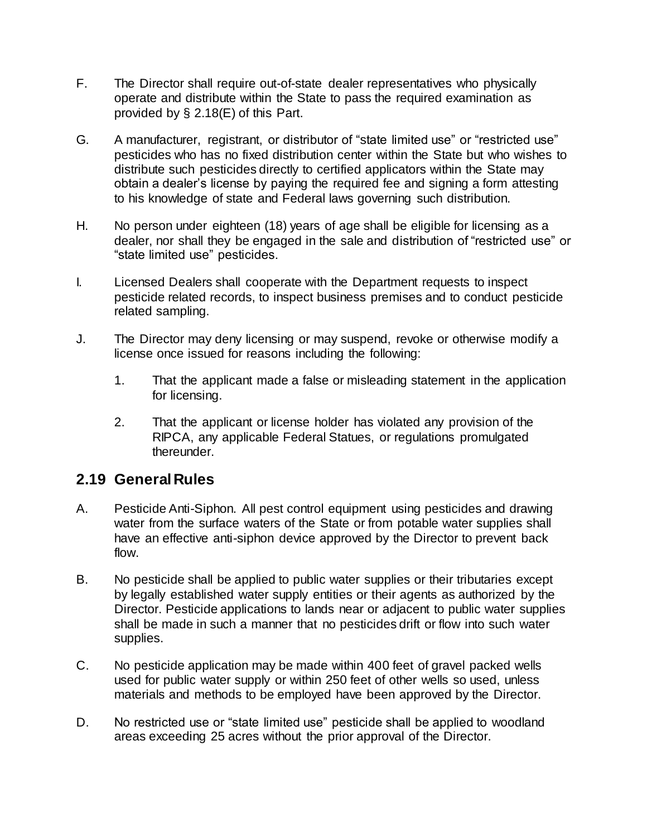- F. The Director shall require out-of-state dealer representatives who physically operate and distribute within the State to pass the required examination as provided by § 2.18(E) of this Part.
- G. A manufacturer, registrant, or distributor of "state limited use" or "restricted use" pesticides who has no fixed distribution center within the State but who wishes to distribute such pesticides directly to certified applicators within the State may obtain a dealer's license by paying the required fee and signing a form attesting to his knowledge of state and Federal laws governing such distribution.
- H. No person under eighteen (18) years of age shall be eligible for licensing as a dealer, nor shall they be engaged in the sale and distribution of "restricted use" or "state limited use" pesticides.
- I. Licensed Dealers shall cooperate with the Department requests to inspect pesticide related records, to inspect business premises and to conduct pesticide related sampling.
- J. The Director may deny licensing or may suspend, revoke or otherwise modify a license once issued for reasons including the following:
	- 1. That the applicant made a false or misleading statement in the application for licensing.
	- 2. That the applicant or license holder has violated any provision of the RIPCA, any applicable Federal Statues, or regulations promulgated thereunder.

## **2.19 General Rules**

- A. Pesticide Anti-Siphon. All pest control equipment using pesticides and drawing water from the surface waters of the State or from potable water supplies shall have an effective anti-siphon device approved by the Director to prevent back flow.
- B. No pesticide shall be applied to public water supplies or their tributaries except by legally established water supply entities or their agents as authorized by the Director. Pesticide applications to lands near or adjacent to public water supplies shall be made in such a manner that no pesticides drift or flow into such water supplies.
- C. No pesticide application may be made within 400 feet of gravel packed wells used for public water supply or within 250 feet of other wells so used, unless materials and methods to be employed have been approved by the Director.
- D. No restricted use or "state limited use" pesticide shall be applied to woodland areas exceeding 25 acres without the prior approval of the Director.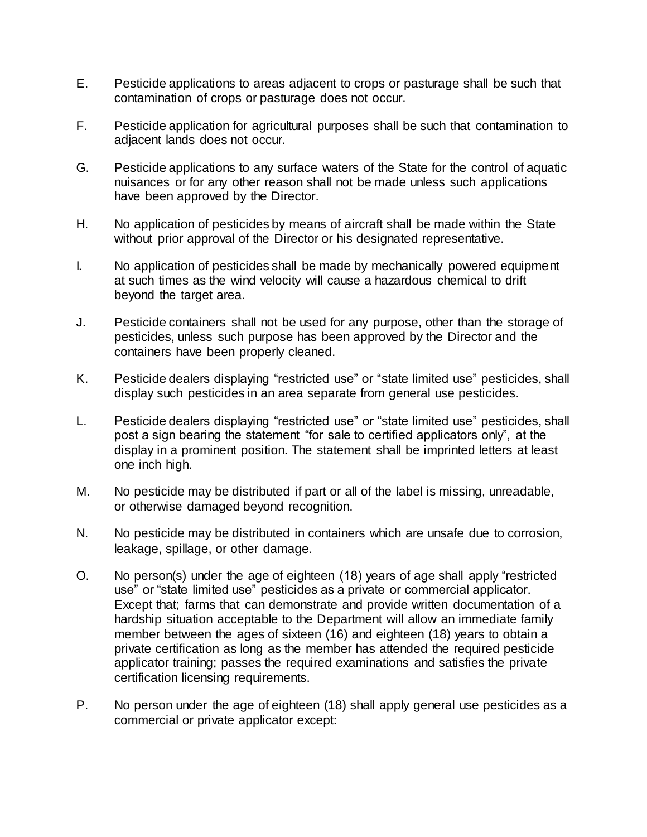- E. Pesticide applications to areas adjacent to crops or pasturage shall be such that contamination of crops or pasturage does not occur.
- F. Pesticide application for agricultural purposes shall be such that contamination to adjacent lands does not occur.
- G. Pesticide applications to any surface waters of the State for the control of aquatic nuisances or for any other reason shall not be made unless such applications have been approved by the Director.
- H. No application of pesticides by means of aircraft shall be made within the State without prior approval of the Director or his designated representative.
- I. No application of pesticides shall be made by mechanically powered equipment at such times as the wind velocity will cause a hazardous chemical to drift beyond the target area.
- J. Pesticide containers shall not be used for any purpose, other than the storage of pesticides, unless such purpose has been approved by the Director and the containers have been properly cleaned.
- K. Pesticide dealers displaying "restricted use" or "state limited use" pesticides, shall display such pesticides in an area separate from general use pesticides.
- L. Pesticide dealers displaying "restricted use" or "state limited use" pesticides, shall post a sign bearing the statement "for sale to certified applicators only", at the display in a prominent position. The statement shall be imprinted letters at least one inch high.
- M. No pesticide may be distributed if part or all of the label is missing, unreadable, or otherwise damaged beyond recognition.
- N. No pesticide may be distributed in containers which are unsafe due to corrosion, leakage, spillage, or other damage.
- O. No person(s) under the age of eighteen (18) years of age shall apply "restricted use" or "state limited use" pesticides as a private or commercial applicator. Except that; farms that can demonstrate and provide written documentation of a hardship situation acceptable to the Department will allow an immediate family member between the ages of sixteen (16) and eighteen (18) years to obtain a private certification as long as the member has attended the required pesticide applicator training; passes the required examinations and satisfies the private certification licensing requirements.
- P. No person under the age of eighteen (18) shall apply general use pesticides as a commercial or private applicator except: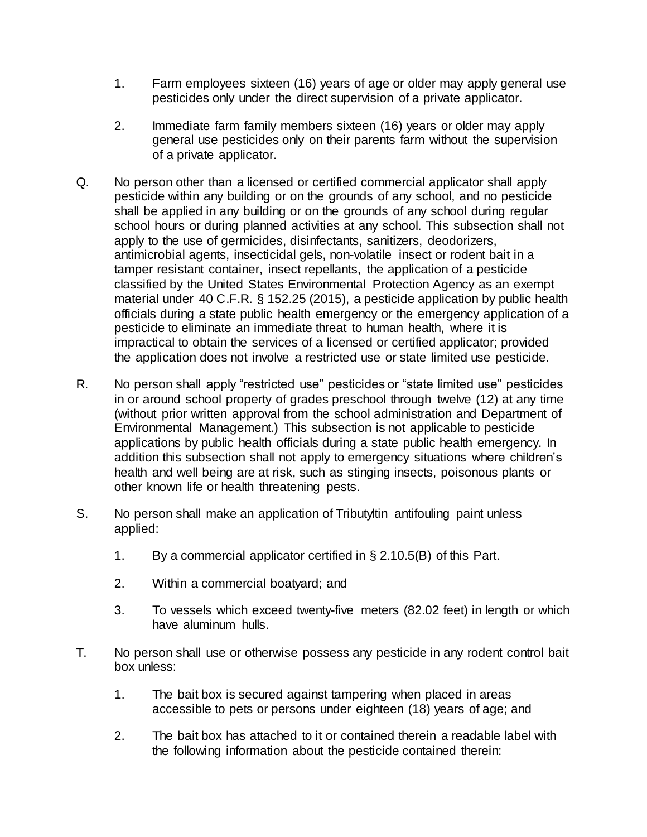- 1. Farm employees sixteen (16) years of age or older may apply general use pesticides only under the direct supervision of a private applicator.
- 2. Immediate farm family members sixteen (16) years or older may apply general use pesticides only on their parents farm without the supervision of a private applicator.
- Q. No person other than a licensed or certified commercial applicator shall apply pesticide within any building or on the grounds of any school, and no pesticide shall be applied in any building or on the grounds of any school during regular school hours or during planned activities at any school. This subsection shall not apply to the use of germicides, disinfectants, sanitizers, deodorizers, antimicrobial agents, insecticidal gels, non-volatile insect or rodent bait in a tamper resistant container, insect repellants, the application of a pesticide classified by the United States Environmental Protection Agency as an exempt material under 40 C.F.R. § 152.25 (2015), a pesticide application by public health officials during a state public health emergency or the emergency application of a pesticide to eliminate an immediate threat to human health, where it is impractical to obtain the services of a licensed or certified applicator; provided the application does not involve a restricted use or state limited use pesticide.
- R. No person shall apply "restricted use" pesticides or "state limited use" pesticides in or around school property of grades preschool through twelve (12) at any time (without prior written approval from the school administration and Department of Environmental Management.) This subsection is not applicable to pesticide applications by public health officials during a state public health emergency. In addition this subsection shall not apply to emergency situations where children's health and well being are at risk, such as stinging insects, poisonous plants or other known life or health threatening pests.
- S. No person shall make an application of Tributyltin antifouling paint unless applied:
	- 1. By a commercial applicator certified in § 2.10.5(B) of this Part.
	- 2. Within a commercial boatyard; and
	- 3. To vessels which exceed twenty-five meters (82.02 feet) in length or which have aluminum hulls.
- T. No person shall use or otherwise possess any pesticide in any rodent control bait box unless:
	- 1. The bait box is secured against tampering when placed in areas accessible to pets or persons under eighteen (18) years of age; and
	- 2. The bait box has attached to it or contained therein a readable label with the following information about the pesticide contained therein: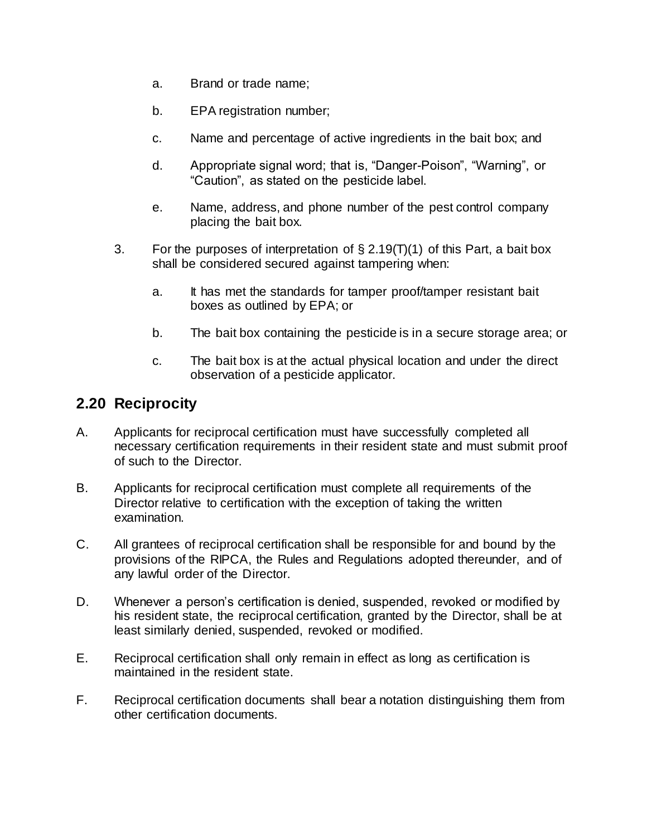- a. Brand or trade name;
- b. EPA registration number;
- c. Name and percentage of active ingredients in the bait box; and
- d. Appropriate signal word; that is, "Danger-Poison", "Warning", or "Caution", as stated on the pesticide label.
- e. Name, address, and phone number of the pest control company placing the bait box.
- 3. For the purposes of interpretation of  $\S 2.19(T)(1)$  of this Part, a bait box shall be considered secured against tampering when:
	- a. It has met the standards for tamper proof/tamper resistant bait boxes as outlined by EPA; or
	- b. The bait box containing the pesticide is in a secure storage area; or
	- c. The bait box is at the actual physical location and under the direct observation of a pesticide applicator.

## **2.20 Reciprocity**

- A. Applicants for reciprocal certification must have successfully completed all necessary certification requirements in their resident state and must submit proof of such to the Director.
- B. Applicants for reciprocal certification must complete all requirements of the Director relative to certification with the exception of taking the written examination.
- C. All grantees of reciprocal certification shall be responsible for and bound by the provisions of the RIPCA, the Rules and Regulations adopted thereunder, and of any lawful order of the Director.
- D. Whenever a person's certification is denied, suspended, revoked or modified by his resident state, the reciprocal certification, granted by the Director, shall be at least similarly denied, suspended, revoked or modified.
- E. Reciprocal certification shall only remain in effect as long as certification is maintained in the resident state.
- F. Reciprocal certification documents shall bear a notation distinguishing them from other certification documents.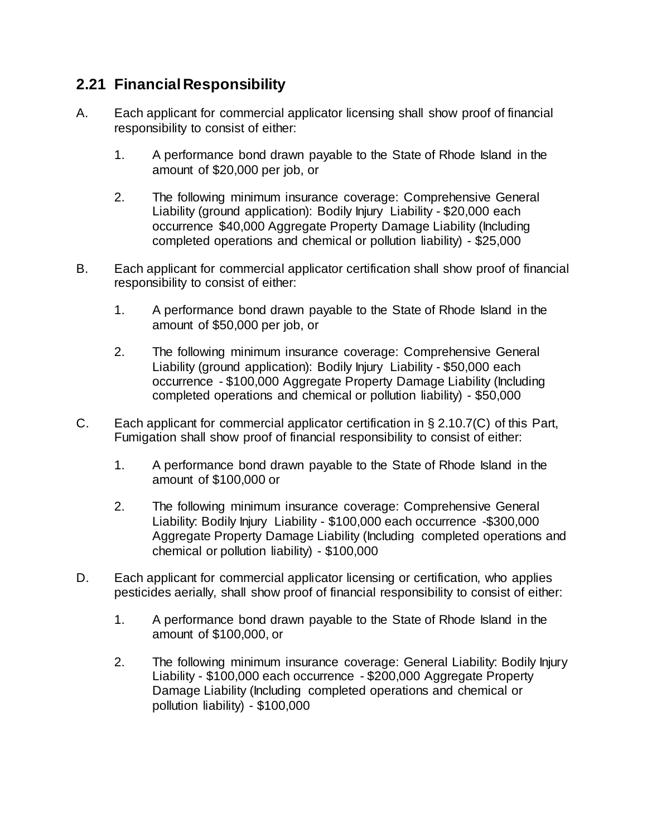# **2.21 Financial Responsibility**

- A. Each applicant for commercial applicator licensing shall show proof of financial responsibility to consist of either:
	- 1. A performance bond drawn payable to the State of Rhode Island in the amount of \$20,000 per job, or
	- 2. The following minimum insurance coverage: Comprehensive General Liability (ground application): Bodily Injury Liability - \$20,000 each occurrence \$40,000 Aggregate Property Damage Liability (Including completed operations and chemical or pollution liability) - \$25,000
- B. Each applicant for commercial applicator certification shall show proof of financial responsibility to consist of either:
	- 1. A performance bond drawn payable to the State of Rhode Island in the amount of \$50,000 per job, or
	- 2. The following minimum insurance coverage: Comprehensive General Liability (ground application): Bodily Injury Liability - \$50,000 each occurrence - \$100,000 Aggregate Property Damage Liability (Including completed operations and chemical or pollution liability) - \$50,000
- C. Each applicant for commercial applicator certification in § 2.10.7(C) of this Part, Fumigation shall show proof of financial responsibility to consist of either:
	- 1. A performance bond drawn payable to the State of Rhode Island in the amount of \$100,000 or
	- 2. The following minimum insurance coverage: Comprehensive General Liability: Bodily Injury Liability - \$100,000 each occurrence -\$300,000 Aggregate Property Damage Liability (Including completed operations and chemical or pollution liability) - \$100,000
- D. Each applicant for commercial applicator licensing or certification, who applies pesticides aerially, shall show proof of financial responsibility to consist of either:
	- 1. A performance bond drawn payable to the State of Rhode Island in the amount of \$100,000, or
	- 2. The following minimum insurance coverage: General Liability: Bodily Injury Liability - \$100,000 each occurrence - \$200,000 Aggregate Property Damage Liability (Including completed operations and chemical or pollution liability) - \$100,000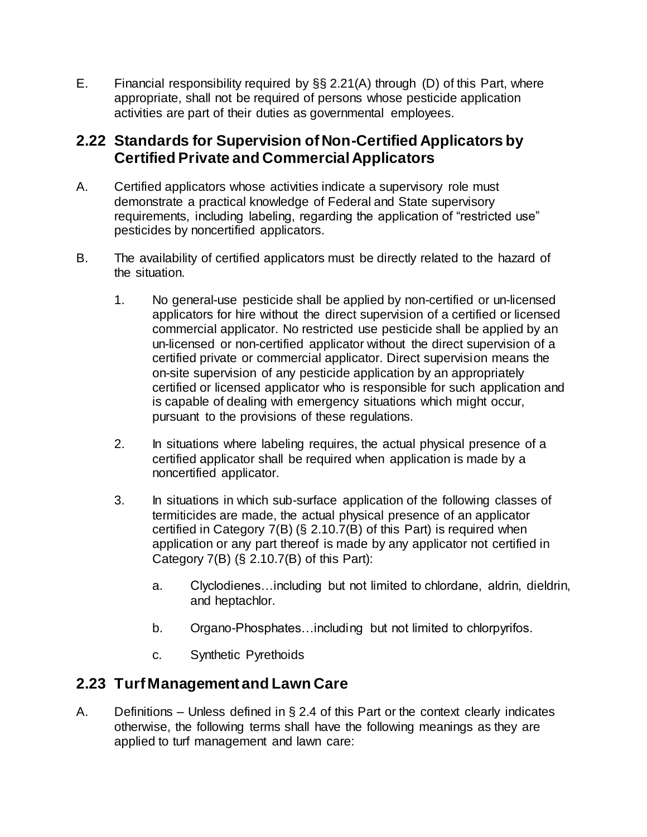E. Financial responsibility required by §§ 2.21(A) through (D) of this Part, where appropriate, shall not be required of persons whose pesticide application activities are part of their duties as governmental employees.

# **2.22 Standards for Supervision of Non-Certified Applicators by Certified Private and Commercial Applicators**

- A. Certified applicators whose activities indicate a supervisory role must demonstrate a practical knowledge of Federal and State supervisory requirements, including labeling, regarding the application of "restricted use" pesticides by noncertified applicators.
- B. The availability of certified applicators must be directly related to the hazard of the situation.
	- 1. No general-use pesticide shall be applied by non-certified or un-licensed applicators for hire without the direct supervision of a certified or licensed commercial applicator. No restricted use pesticide shall be applied by an un-licensed or non-certified applicator without the direct supervision of a certified private or commercial applicator. Direct supervision means the on-site supervision of any pesticide application by an appropriately certified or licensed applicator who is responsible for such application and is capable of dealing with emergency situations which might occur, pursuant to the provisions of these regulations.
	- 2. In situations where labeling requires, the actual physical presence of a certified applicator shall be required when application is made by a noncertified applicator.
	- 3. In situations in which sub-surface application of the following classes of termiticides are made, the actual physical presence of an applicator certified in Category 7(B) (§ 2.10.7(B) of this Part) is required when application or any part thereof is made by any applicator not certified in Category  $7(B)$  (§ 2.10.7(B) of this Part):
		- a. Clyclodienes…including but not limited to chlordane, aldrin, dieldrin, and heptachlor.
		- b. Organo-Phosphates…including but not limited to chlorpyrifos.
		- c. Synthetic Pyrethoids

## **2.23 Turf Management and Lawn Care**

A. Definitions – Unless defined in § 2.4 of this Part or the context clearly indicates otherwise, the following terms shall have the following meanings as they are applied to turf management and lawn care: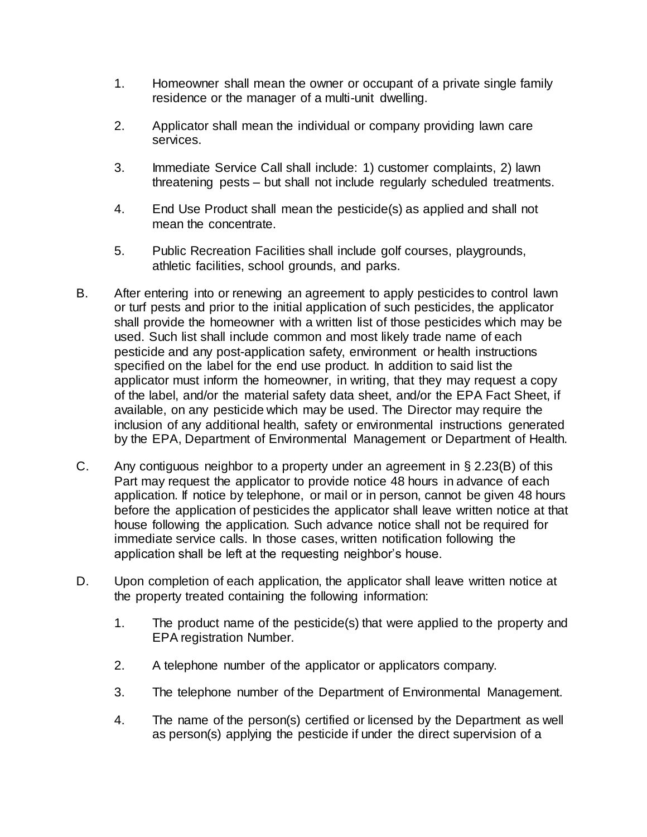- 1. Homeowner shall mean the owner or occupant of a private single family residence or the manager of a multi-unit dwelling.
- 2. Applicator shall mean the individual or company providing lawn care services.
- 3. Immediate Service Call shall include: 1) customer complaints, 2) lawn threatening pests – but shall not include regularly scheduled treatments.
- 4. End Use Product shall mean the pesticide(s) as applied and shall not mean the concentrate.
- 5. Public Recreation Facilities shall include golf courses, playgrounds, athletic facilities, school grounds, and parks.
- B. After entering into or renewing an agreement to apply pesticides to control lawn or turf pests and prior to the initial application of such pesticides, the applicator shall provide the homeowner with a written list of those pesticides which may be used. Such list shall include common and most likely trade name of each pesticide and any post-application safety, environment or health instructions specified on the label for the end use product. In addition to said list the applicator must inform the homeowner, in writing, that they may request a copy of the label, and/or the material safety data sheet, and/or the EPA Fact Sheet, if available, on any pesticide which may be used. The Director may require the inclusion of any additional health, safety or environmental instructions generated by the EPA, Department of Environmental Management or Department of Health.
- C. Any contiguous neighbor to a property under an agreement in § 2.23(B) of this Part may request the applicator to provide notice 48 hours in advance of each application. If notice by telephone, or mail or in person, cannot be given 48 hours before the application of pesticides the applicator shall leave written notice at that house following the application. Such advance notice shall not be required for immediate service calls. In those cases, written notification following the application shall be left at the requesting neighbor's house.
- D. Upon completion of each application, the applicator shall leave written notice at the property treated containing the following information:
	- 1. The product name of the pesticide(s) that were applied to the property and EPA registration Number.
	- 2. A telephone number of the applicator or applicators company.
	- 3. The telephone number of the Department of Environmental Management.
	- 4. The name of the person(s) certified or licensed by the Department as well as person(s) applying the pesticide if under the direct supervision of a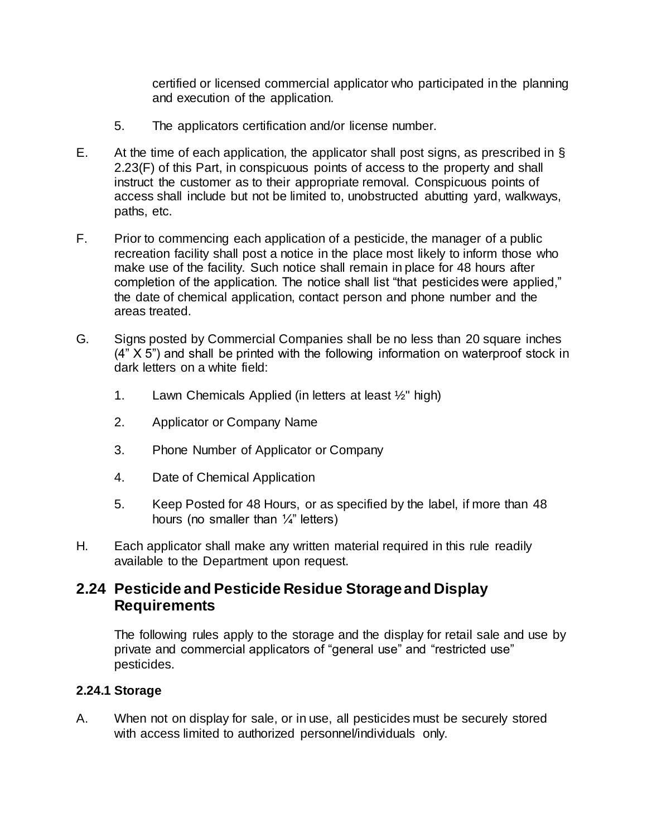certified or licensed commercial applicator who participated in the planning and execution of the application.

- 5. The applicators certification and/or license number.
- E. At the time of each application, the applicator shall post signs, as prescribed in § 2.23(F) of this Part, in conspicuous points of access to the property and shall instruct the customer as to their appropriate removal. Conspicuous points of access shall include but not be limited to, unobstructed abutting yard, walkways, paths, etc.
- F. Prior to commencing each application of a pesticide, the manager of a public recreation facility shall post a notice in the place most likely to inform those who make use of the facility. Such notice shall remain in place for 48 hours after completion of the application. The notice shall list "that pesticides were applied," the date of chemical application, contact person and phone number and the areas treated.
- G. Signs posted by Commercial Companies shall be no less than 20 square inches (4" X 5") and shall be printed with the following information on waterproof stock in dark letters on a white field:
	- 1. Lawn Chemicals Applied (in letters at least  $\frac{1}{2}$ " high)
	- 2. Applicator or Company Name
	- 3. Phone Number of Applicator or Company
	- 4. Date of Chemical Application
	- 5. Keep Posted for 48 Hours, or as specified by the label, if more than 48 hours (no smaller than  $\frac{1}{4}$ " letters)
- H. Each applicator shall make any written material required in this rule readily available to the Department upon request.

## **2.24 Pesticide and Pesticide Residue Storage and Display Requirements**

The following rules apply to the storage and the display for retail sale and use by private and commercial applicators of "general use" and "restricted use" pesticides.

#### **2.24.1 Storage**

A. When not on display for sale, or in use, all pesticides must be securely stored with access limited to authorized personnel/individuals only.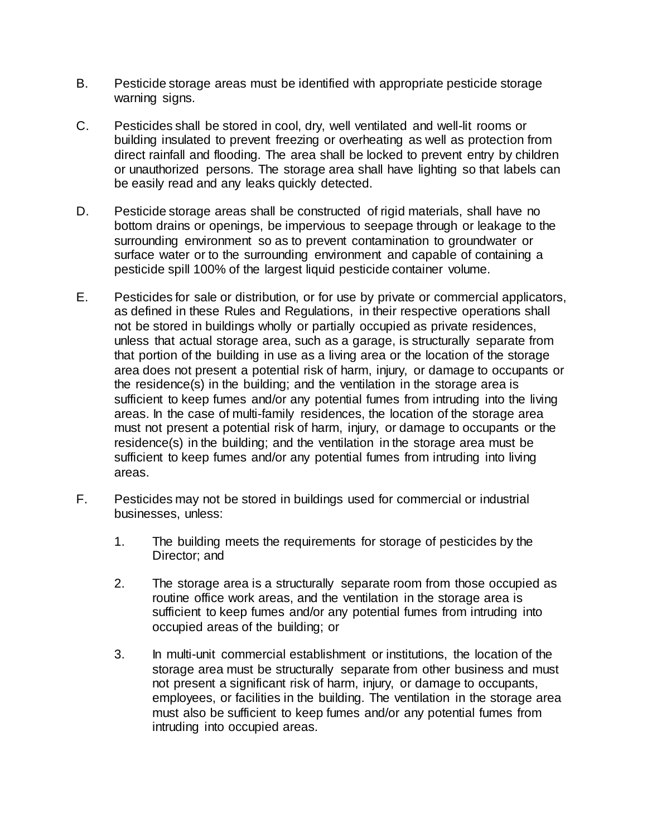- B. Pesticide storage areas must be identified with appropriate pesticide storage warning signs.
- C. Pesticides shall be stored in cool, dry, well ventilated and well-lit rooms or building insulated to prevent freezing or overheating as well as protection from direct rainfall and flooding. The area shall be locked to prevent entry by children or unauthorized persons. The storage area shall have lighting so that labels can be easily read and any leaks quickly detected.
- D. Pesticide storage areas shall be constructed of rigid materials, shall have no bottom drains or openings, be impervious to seepage through or leakage to the surrounding environment so as to prevent contamination to groundwater or surface water or to the surrounding environment and capable of containing a pesticide spill 100% of the largest liquid pesticide container volume.
- E. Pesticides for sale or distribution, or for use by private or commercial applicators, as defined in these Rules and Regulations, in their respective operations shall not be stored in buildings wholly or partially occupied as private residences, unless that actual storage area, such as a garage, is structurally separate from that portion of the building in use as a living area or the location of the storage area does not present a potential risk of harm, injury, or damage to occupants or the residence(s) in the building; and the ventilation in the storage area is sufficient to keep fumes and/or any potential fumes from intruding into the living areas. In the case of multi-family residences, the location of the storage area must not present a potential risk of harm, injury, or damage to occupants or the residence(s) in the building; and the ventilation in the storage area must be sufficient to keep fumes and/or any potential fumes from intruding into living areas.
- F. Pesticides may not be stored in buildings used for commercial or industrial businesses, unless:
	- 1. The building meets the requirements for storage of pesticides by the Director; and
	- 2. The storage area is a structurally separate room from those occupied as routine office work areas, and the ventilation in the storage area is sufficient to keep fumes and/or any potential fumes from intruding into occupied areas of the building; or
	- 3. In multi-unit commercial establishment or institutions, the location of the storage area must be structurally separate from other business and must not present a significant risk of harm, injury, or damage to occupants, employees, or facilities in the building. The ventilation in the storage area must also be sufficient to keep fumes and/or any potential fumes from intruding into occupied areas.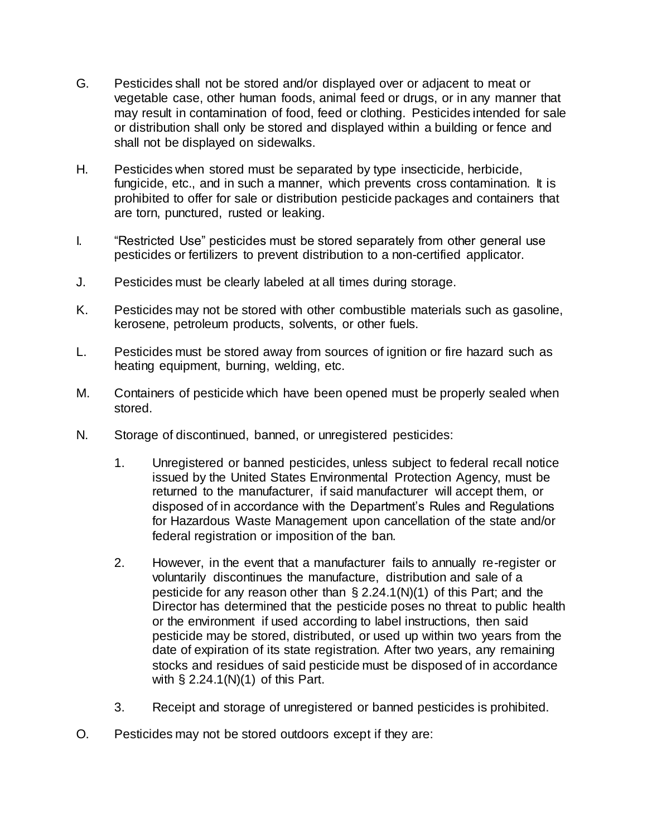- G. Pesticides shall not be stored and/or displayed over or adjacent to meat or vegetable case, other human foods, animal feed or drugs, or in any manner that may result in contamination of food, feed or clothing. Pesticides intended for sale or distribution shall only be stored and displayed within a building or fence and shall not be displayed on sidewalks.
- H. Pesticides when stored must be separated by type insecticide, herbicide, fungicide, etc., and in such a manner, which prevents cross contamination. It is prohibited to offer for sale or distribution pesticide packages and containers that are torn, punctured, rusted or leaking.
- I. "Restricted Use" pesticides must be stored separately from other general use pesticides or fertilizers to prevent distribution to a non-certified applicator.
- J. Pesticides must be clearly labeled at all times during storage.
- K. Pesticides may not be stored with other combustible materials such as gasoline, kerosene, petroleum products, solvents, or other fuels.
- L. Pesticides must be stored away from sources of ignition or fire hazard such as heating equipment, burning, welding, etc.
- M. Containers of pesticide which have been opened must be properly sealed when stored.
- N. Storage of discontinued, banned, or unregistered pesticides:
	- 1. Unregistered or banned pesticides, unless subject to federal recall notice issued by the United States Environmental Protection Agency, must be returned to the manufacturer, if said manufacturer will accept them, or disposed of in accordance with the Department's Rules and Regulations for Hazardous Waste Management upon cancellation of the state and/or federal registration or imposition of the ban.
	- 2. However, in the event that a manufacturer fails to annually re-register or voluntarily discontinues the manufacture, distribution and sale of a pesticide for any reason other than § 2.24.1(N)(1) of this Part; and the Director has determined that the pesticide poses no threat to public health or the environment if used according to label instructions, then said pesticide may be stored, distributed, or used up within two years from the date of expiration of its state registration. After two years, any remaining stocks and residues of said pesticide must be disposed of in accordance with § 2.24.1(N)(1) of this Part.
	- 3. Receipt and storage of unregistered or banned pesticides is prohibited.
- O. Pesticides may not be stored outdoors except if they are: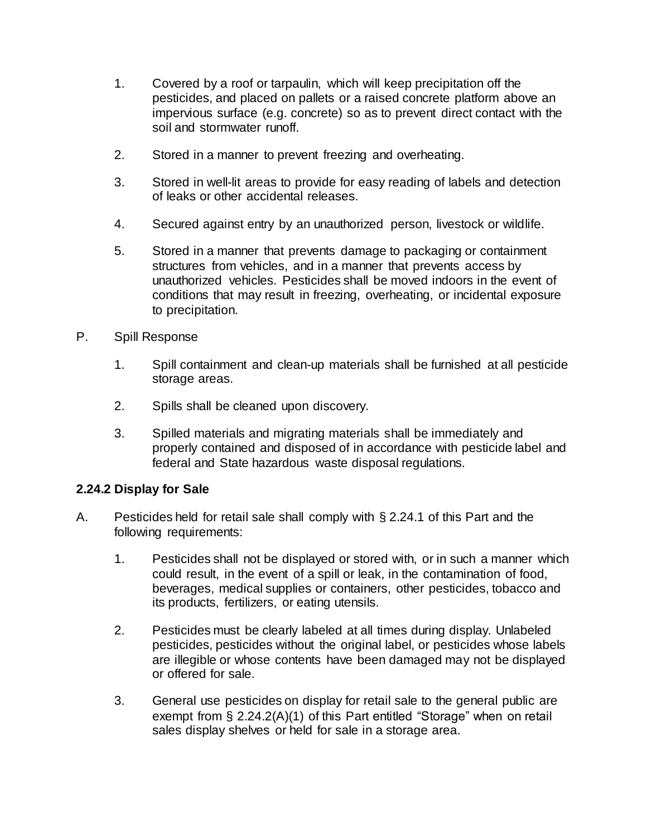- 1. Covered by a roof or tarpaulin, which will keep precipitation off the pesticides, and placed on pallets or a raised concrete platform above an impervious surface (e.g. concrete) so as to prevent direct contact with the soil and stormwater runoff.
- 2. Stored in a manner to prevent freezing and overheating.
- 3. Stored in well-lit areas to provide for easy reading of labels and detection of leaks or other accidental releases.
- 4. Secured against entry by an unauthorized person, livestock or wildlife.
- 5. Stored in a manner that prevents damage to packaging or containment structures from vehicles, and in a manner that prevents access by unauthorized vehicles. Pesticides shall be moved indoors in the event of conditions that may result in freezing, overheating, or incidental exposure to precipitation.
- P. Spill Response
	- 1. Spill containment and clean-up materials shall be furnished at all pesticide storage areas.
	- 2. Spills shall be cleaned upon discovery.
	- 3. Spilled materials and migrating materials shall be immediately and properly contained and disposed of in accordance with pesticide label and federal and State hazardous waste disposal regulations.

#### **2.24.2 Display for Sale**

- A. Pesticides held for retail sale shall comply with § 2.24.1 of this Part and the following requirements:
	- 1. Pesticides shall not be displayed or stored with, or in such a manner which could result, in the event of a spill or leak, in the contamination of food, beverages, medical supplies or containers, other pesticides, tobacco and its products, fertilizers, or eating utensils.
	- 2. Pesticides must be clearly labeled at all times during display. Unlabeled pesticides, pesticides without the original label, or pesticides whose labels are illegible or whose contents have been damaged may not be displayed or offered for sale.
	- 3. General use pesticides on display for retail sale to the general public are exempt from § 2.24.2(A)(1) of this Part entitled "Storage" when on retail sales display shelves or held for sale in a storage area.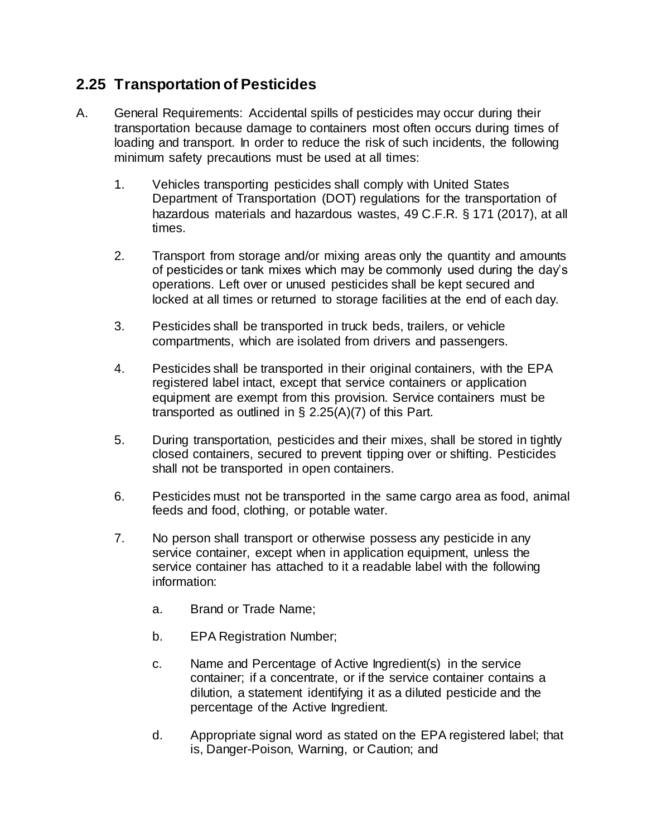# **2.25 Transportation of Pesticides**

- A. General Requirements: Accidental spills of pesticides may occur during their transportation because damage to containers most often occurs during times of loading and transport. In order to reduce the risk of such incidents, the following minimum safety precautions must be used at all times:
	- 1. Vehicles transporting pesticides shall comply with United States Department of Transportation (DOT) regulations for the transportation of hazardous materials and hazardous wastes, 49 C.F.R. § 171 (2017), at all times.
	- 2. Transport from storage and/or mixing areas only the quantity and amounts of pesticides or tank mixes which may be commonly used during the day's operations. Left over or unused pesticides shall be kept secured and locked at all times or returned to storage facilities at the end of each day.
	- 3. Pesticides shall be transported in truck beds, trailers, or vehicle compartments, which are isolated from drivers and passengers.
	- 4. Pesticides shall be transported in their original containers, with the EPA registered label intact, except that service containers or application equipment are exempt from this provision. Service containers must be transported as outlined in  $\S$  2.25(A)(7) of this Part.
	- 5. During transportation, pesticides and their mixes, shall be stored in tightly closed containers, secured to prevent tipping over or shifting. Pesticides shall not be transported in open containers.
	- 6. Pesticides must not be transported in the same cargo area as food, animal feeds and food, clothing, or potable water.
	- 7. No person shall transport or otherwise possess any pesticide in any service container, except when in application equipment, unless the service container has attached to it a readable label with the following information:
		- a. Brand or Trade Name;
		- b. EPA Registration Number;
		- c. Name and Percentage of Active Ingredient(s) in the service container; if a concentrate, or if the service container contains a dilution, a statement identifying it as a diluted pesticide and the percentage of the Active Ingredient.
		- d. Appropriate signal word as stated on the EPA registered label; that is, Danger-Poison, Warning, or Caution; and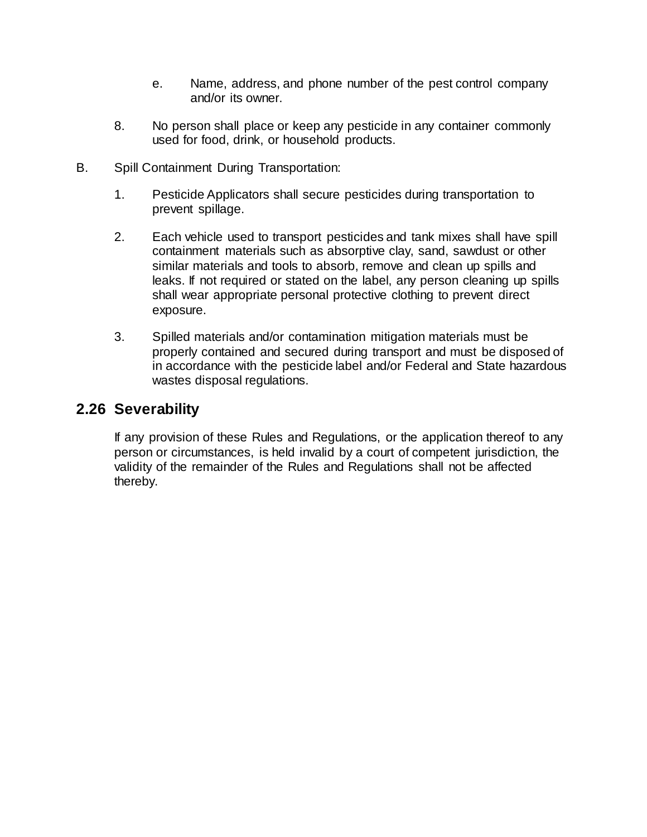- e. Name, address, and phone number of the pest control company and/or its owner.
- 8. No person shall place or keep any pesticide in any container commonly used for food, drink, or household products.
- B. Spill Containment During Transportation:
	- 1. Pesticide Applicators shall secure pesticides during transportation to prevent spillage.
	- 2. Each vehicle used to transport pesticides and tank mixes shall have spill containment materials such as absorptive clay, sand, sawdust or other similar materials and tools to absorb, remove and clean up spills and leaks. If not required or stated on the label, any person cleaning up spills shall wear appropriate personal protective clothing to prevent direct exposure.
	- 3. Spilled materials and/or contamination mitigation materials must be properly contained and secured during transport and must be disposed of in accordance with the pesticide label and/or Federal and State hazardous wastes disposal regulations.

## **2.26 Severability**

If any provision of these Rules and Regulations, or the application thereof to any person or circumstances, is held invalid by a court of competent jurisdiction, the validity of the remainder of the Rules and Regulations shall not be affected thereby.